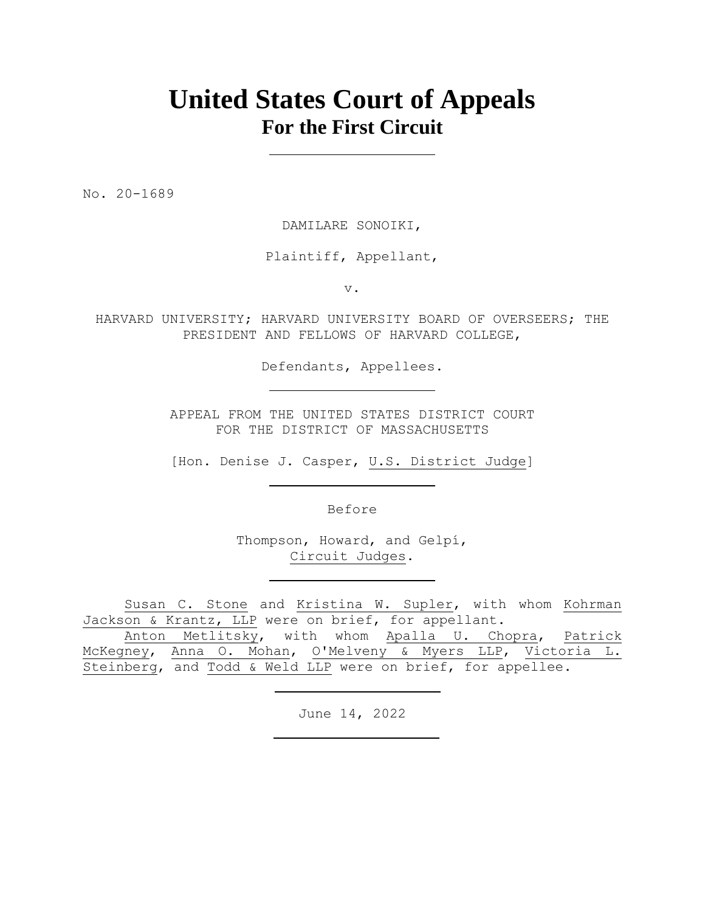# **United States Court of Appeals For the First Circuit**

No. 20-1689

DAMILARE SONOIKI,

Plaintiff, Appellant,

v.

HARVARD UNIVERSITY; HARVARD UNIVERSITY BOARD OF OVERSEERS; THE PRESIDENT AND FELLOWS OF HARVARD COLLEGE,

Defendants, Appellees.

APPEAL FROM THE UNITED STATES DISTRICT COURT FOR THE DISTRICT OF MASSACHUSETTS

[Hon. Denise J. Casper, U.S. District Judge]

Before

Thompson, Howard, and Gelpí, Circuit Judges.

Susan C. Stone and Kristina W. Supler, with whom Kohrman Jackson & Krantz, LLP were on brief, for appellant.

Anton Metlitsky, with whom Apalla U. Chopra, Patrick McKegney, Anna O. Mohan, O'Melveny & Myers LLP, Victoria L. Steinberg, and Todd & Weld LLP were on brief, for appellee.

June 14, 2022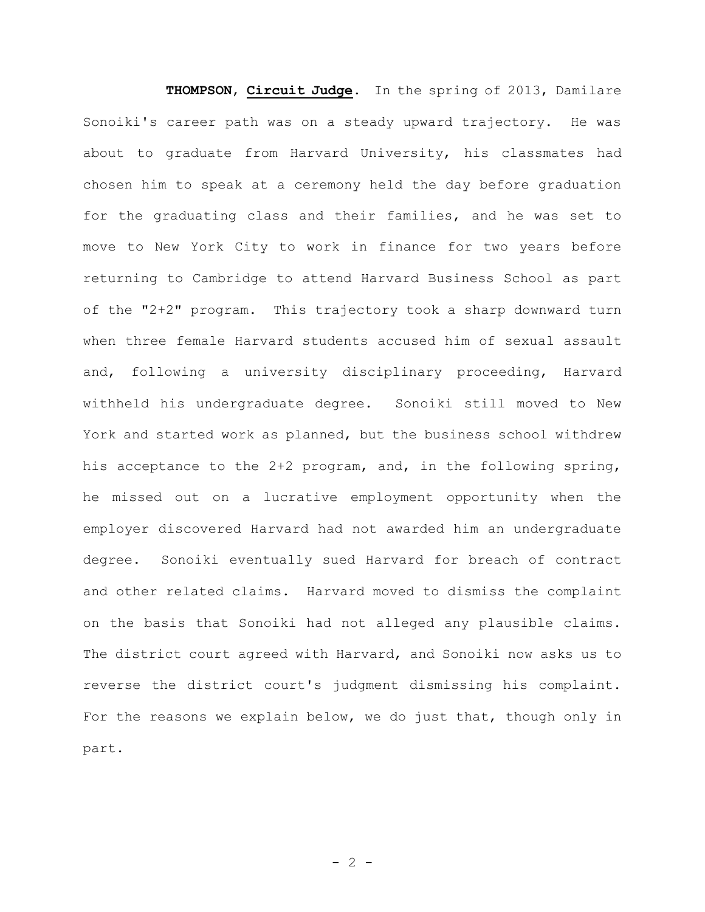**THOMPSON**, **Circuit Judge**. In the spring of 2013, Damilare Sonoiki's career path was on a steady upward trajectory. He was about to graduate from Harvard University, his classmates had chosen him to speak at a ceremony held the day before graduation for the graduating class and their families, and he was set to move to New York City to work in finance for two years before returning to Cambridge to attend Harvard Business School as part of the "2+2" program. This trajectory took a sharp downward turn when three female Harvard students accused him of sexual assault and, following a university disciplinary proceeding, Harvard withheld his undergraduate degree. Sonoiki still moved to New York and started work as planned, but the business school withdrew his acceptance to the 2+2 program, and, in the following spring, he missed out on a lucrative employment opportunity when the employer discovered Harvard had not awarded him an undergraduate degree. Sonoiki eventually sued Harvard for breach of contract and other related claims. Harvard moved to dismiss the complaint on the basis that Sonoiki had not alleged any plausible claims. The district court agreed with Harvard, and Sonoiki now asks us to reverse the district court's judgment dismissing his complaint. For the reasons we explain below, we do just that, though only in part.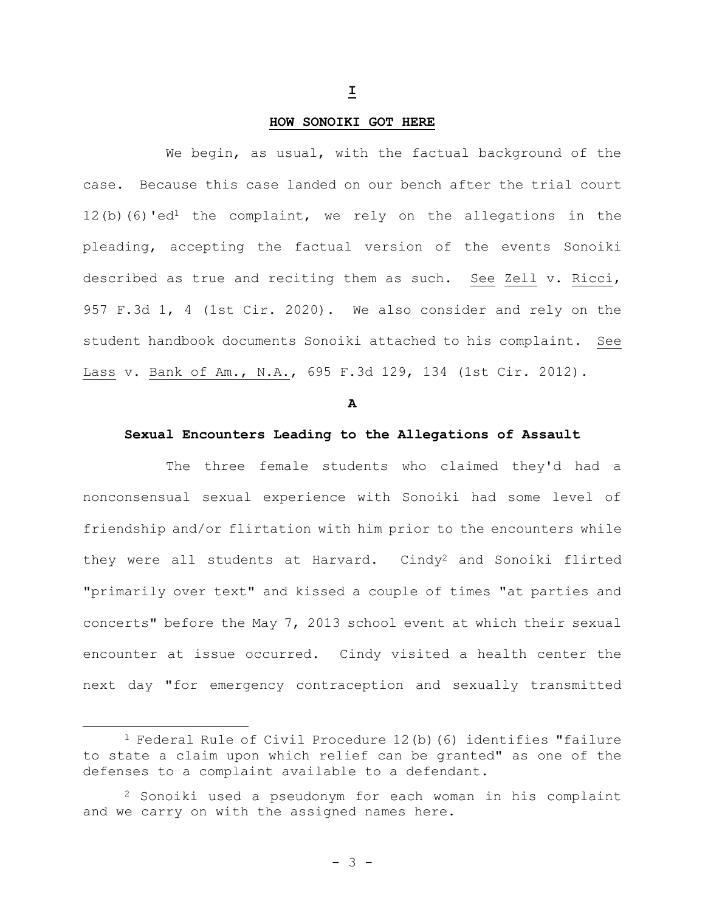#### **HOW SONOIKI GOT HERE**

We begin, as usual, with the factual background of the case. Because this case landed on our bench after the trial court 12(b)(6)'ed<sup>1</sup> the complaint, we rely on the allegations in the pleading, accepting the factual version of the events Sonoiki described as true and reciting them as such. See Zell v. Ricci, 957 F.3d 1, 4 (1st Cir. 2020). We also consider and rely on the student handbook documents Sonoiki attached to his complaint. See Lass v. Bank of Am., N.A., 695 F.3d 129, 134 (1st Cir. 2012).

**A**

## **Sexual Encounters Leading to the Allegations of Assault**

The three female students who claimed they'd had a nonconsensual sexual experience with Sonoiki had some level of friendship and/or flirtation with him prior to the encounters while they were all students at Harvard. Cindy<sup>2</sup> and Sonoiki flirted "primarily over text" and kissed a couple of times "at parties and concerts" before the May 7, 2013 school event at which their sexual encounter at issue occurred. Cindy visited a health center the next day "for emergency contraception and sexually transmitted

<sup>&</sup>lt;sup>1</sup> Federal Rule of Civil Procedure  $12(b)$  (6) identifies "failure to state a claim upon which relief can be granted" as one of the defenses to a complaint available to a defendant.

<sup>2</sup> Sonoiki used a pseudonym for each woman in his complaint and we carry on with the assigned names here.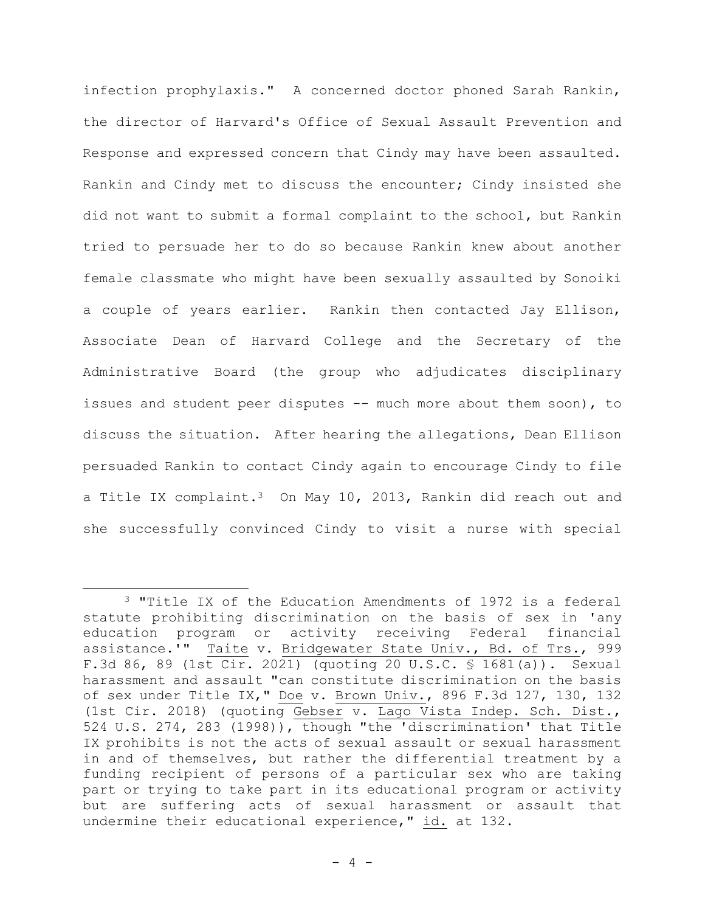infection prophylaxis." A concerned doctor phoned Sarah Rankin, the director of Harvard's Office of Sexual Assault Prevention and Response and expressed concern that Cindy may have been assaulted. Rankin and Cindy met to discuss the encounter; Cindy insisted she did not want to submit a formal complaint to the school, but Rankin tried to persuade her to do so because Rankin knew about another female classmate who might have been sexually assaulted by Sonoiki a couple of years earlier. Rankin then contacted Jay Ellison, Associate Dean of Harvard College and the Secretary of the Administrative Board (the group who adjudicates disciplinary issues and student peer disputes -- much more about them soon), to discuss the situation. After hearing the allegations, Dean Ellison persuaded Rankin to contact Cindy again to encourage Cindy to file a Title IX complaint.<sup>3</sup> On May 10, 2013, Rankin did reach out and she successfully convinced Cindy to visit a nurse with special

<sup>3</sup> "Title IX of the Education Amendments of 1972 is a federal statute prohibiting discrimination on the basis of sex in 'any education program or activity receiving Federal financial assistance.'" Taite v. Bridgewater State Univ., Bd. of Trs., 999 F.3d 86, 89 (1st Cir. 2021) (quoting 20 U.S.C. § 1681(a)). Sexual harassment and assault "can constitute discrimination on the basis of sex under Title IX," Doe v. Brown Univ., 896 F.3d 127, 130, 132 (1st Cir. 2018) (quoting Gebser v. Lago Vista Indep. Sch. Dist., 524 U.S. 274, 283 (1998)), though "the 'discrimination' that Title IX prohibits is not the acts of sexual assault or sexual harassment in and of themselves, but rather the differential treatment by a funding recipient of persons of a particular sex who are taking part or trying to take part in its educational program or activity but are suffering acts of sexual harassment or assault that undermine their educational experience," id. at 132.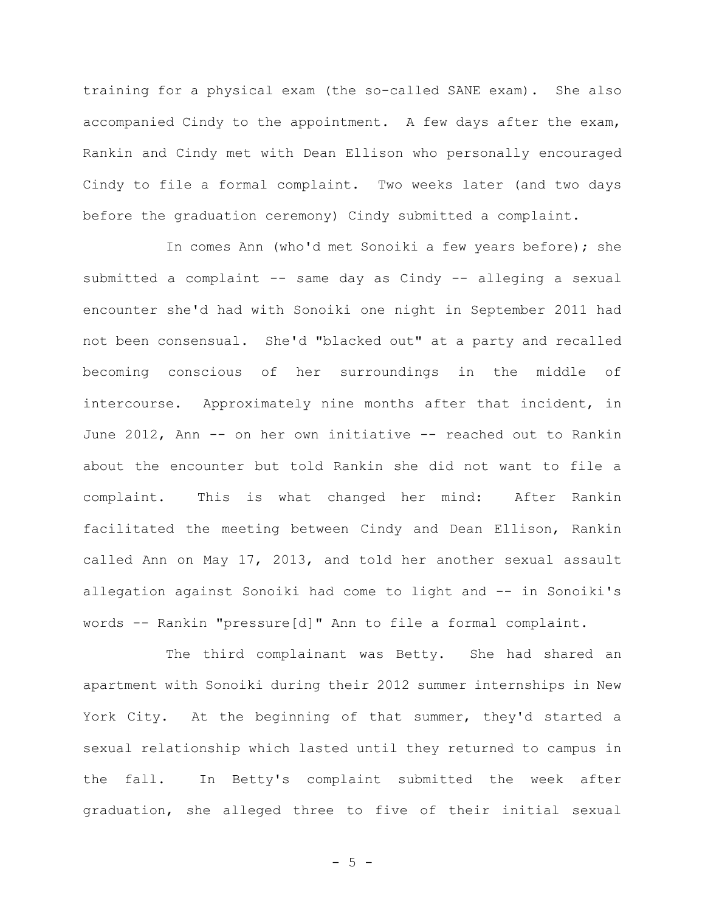training for a physical exam (the so-called SANE exam). She also accompanied Cindy to the appointment. A few days after the exam, Rankin and Cindy met with Dean Ellison who personally encouraged Cindy to file a formal complaint. Two weeks later (and two days before the graduation ceremony) Cindy submitted a complaint.

In comes Ann (who'd met Sonoiki a few years before); she submitted a complaint -- same day as Cindy -- alleging a sexual encounter she'd had with Sonoiki one night in September 2011 had not been consensual. She'd "blacked out" at a party and recalled becoming conscious of her surroundings in the middle of intercourse. Approximately nine months after that incident, in June 2012, Ann -- on her own initiative -- reached out to Rankin about the encounter but told Rankin she did not want to file a complaint. This is what changed her mind: After Rankin facilitated the meeting between Cindy and Dean Ellison, Rankin called Ann on May 17, 2013, and told her another sexual assault allegation against Sonoiki had come to light and -- in Sonoiki's words -- Rankin "pressure[d]" Ann to file a formal complaint.

The third complainant was Betty. She had shared an apartment with Sonoiki during their 2012 summer internships in New York City. At the beginning of that summer, they'd started a sexual relationship which lasted until they returned to campus in the fall. In Betty's complaint submitted the week after graduation, she alleged three to five of their initial sexual

- 5 -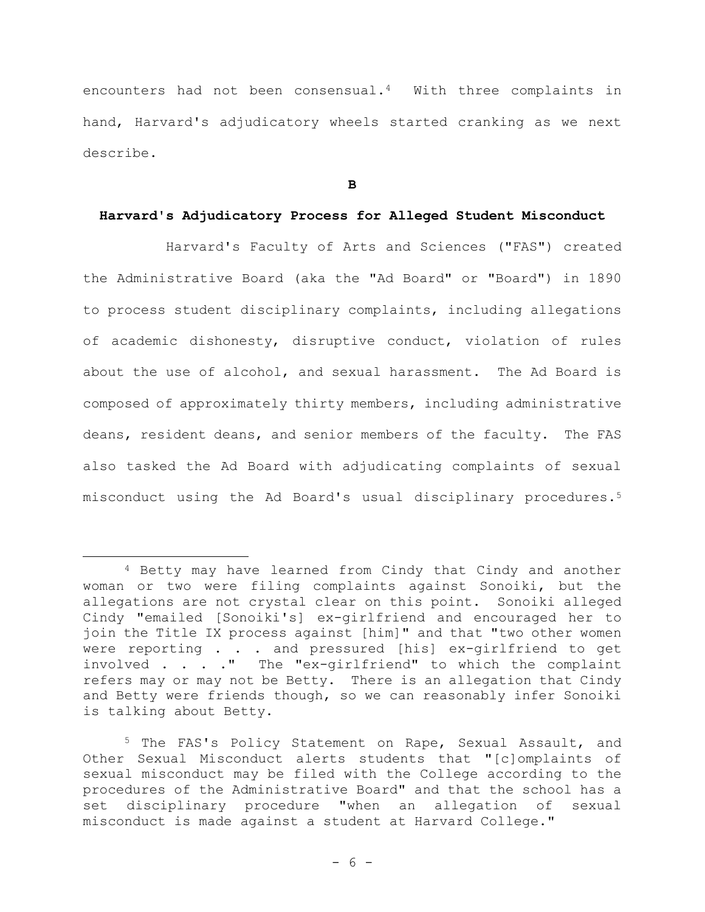encounters had not been consensual.<sup>4</sup> With three complaints in hand, Harvard's adjudicatory wheels started cranking as we next describe.

**B**

# **Harvard's Adjudicatory Process for Alleged Student Misconduct**

Harvard's Faculty of Arts and Sciences ("FAS") created the Administrative Board (aka the "Ad Board" or "Board") in 1890 to process student disciplinary complaints, including allegations of academic dishonesty, disruptive conduct, violation of rules about the use of alcohol, and sexual harassment. The Ad Board is composed of approximately thirty members, including administrative deans, resident deans, and senior members of the faculty. The FAS also tasked the Ad Board with adjudicating complaints of sexual misconduct using the Ad Board's usual disciplinary procedures.<sup>5</sup>

<sup>4</sup> Betty may have learned from Cindy that Cindy and another woman or two were filing complaints against Sonoiki, but the allegations are not crystal clear on this point. Sonoiki alleged Cindy "emailed [Sonoiki's] ex-girlfriend and encouraged her to join the Title IX process against [him]" and that "two other women were reporting . . . and pressured [his] ex-qirlfriend to get involved . . . ." The "ex-girlfriend" to which the complaint refers may or may not be Betty. There is an allegation that Cindy and Betty were friends though, so we can reasonably infer Sonoiki is talking about Betty.

<sup>5</sup> The FAS's Policy Statement on Rape, Sexual Assault, and Other Sexual Misconduct alerts students that "[c]omplaints of sexual misconduct may be filed with the College according to the procedures of the Administrative Board" and that the school has a set disciplinary procedure "when an allegation of sexual misconduct is made against a student at Harvard College."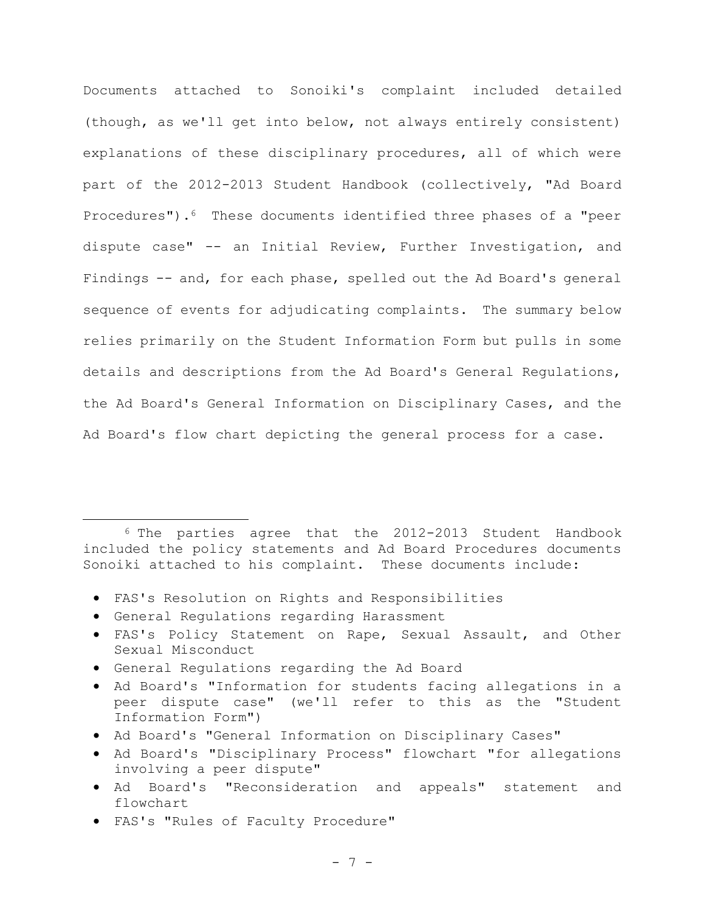Documents attached to Sonoiki's complaint included detailed (though, as we'll get into below, not always entirely consistent) explanations of these disciplinary procedures, all of which were part of the 2012-2013 Student Handbook (collectively, "Ad Board Procedures").6 These documents identified three phases of a "peer dispute case" -- an Initial Review, Further Investigation, and Findings -- and, for each phase, spelled out the Ad Board's general sequence of events for adjudicating complaints. The summary below relies primarily on the Student Information Form but pulls in some details and descriptions from the Ad Board's General Regulations, the Ad Board's General Information on Disciplinary Cases, and the Ad Board's flow chart depicting the general process for a case.

<sup>6</sup> The parties agree that the 2012-2013 Student Handbook included the policy statements and Ad Board Procedures documents Sonoiki attached to his complaint. These documents include:

- FAS's Resolution on Rights and Responsibilities
- General Regulations regarding Harassment
- FAS's Policy Statement on Rape, Sexual Assault, and Other Sexual Misconduct
- General Regulations regarding the Ad Board
- Ad Board's "Information for students facing allegations in a peer dispute case" (we'll refer to this as the "Student Information Form")
- Ad Board's "General Information on Disciplinary Cases"
- Ad Board's "Disciplinary Process" flowchart "for allegations involving a peer dispute"
- Ad Board's "Reconsideration and appeals" statement and flowchart
- FAS's "Rules of Faculty Procedure"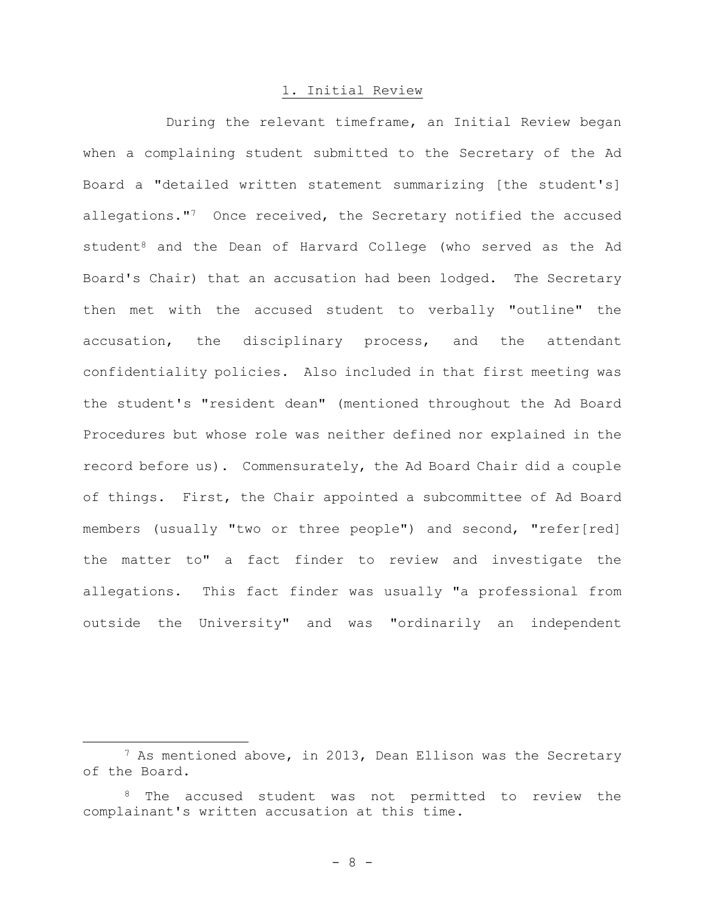## 1. Initial Review

During the relevant timeframe, an Initial Review began when a complaining student submitted to the Secretary of the Ad Board a "detailed written statement summarizing [the student's] allegations."<sup>7</sup> Once received, the Secretary notified the accused student<sup>8</sup> and the Dean of Harvard College (who served as the Ad Board's Chair) that an accusation had been lodged. The Secretary then met with the accused student to verbally "outline" the accusation, the disciplinary process, and the attendant confidentiality policies. Also included in that first meeting was the student's "resident dean" (mentioned throughout the Ad Board Procedures but whose role was neither defined nor explained in the record before us). Commensurately, the Ad Board Chair did a couple of things. First, the Chair appointed a subcommittee of Ad Board members (usually "two or three people") and second, "refer[red] the matter to" a fact finder to review and investigate the allegations. This fact finder was usually "a professional from outside the University" and was "ordinarily an independent

<sup>7</sup> As mentioned above, in 2013, Dean Ellison was the Secretary of the Board.

<sup>8</sup> The accused student was not permitted to review the complainant's written accusation at this time.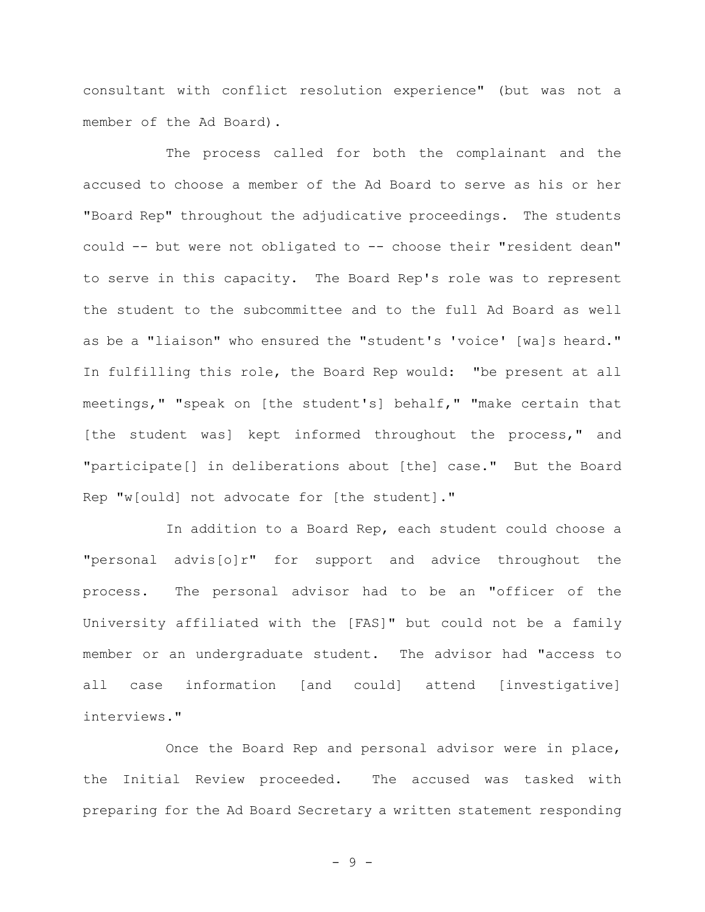consultant with conflict resolution experience" (but was not a member of the Ad Board).

The process called for both the complainant and the accused to choose a member of the Ad Board to serve as his or her "Board Rep" throughout the adjudicative proceedings. The students could -- but were not obligated to -- choose their "resident dean" to serve in this capacity. The Board Rep's role was to represent the student to the subcommittee and to the full Ad Board as well as be a "liaison" who ensured the "student's 'voice' [wa]s heard." In fulfilling this role, the Board Rep would: "be present at all meetings," "speak on [the student's] behalf," "make certain that [the student was] kept informed throughout the process," and "participate[] in deliberations about [the] case." But the Board Rep "w[ould] not advocate for [the student]."

In addition to a Board Rep, each student could choose a "personal advis[o]r" for support and advice throughout the process. The personal advisor had to be an "officer of the University affiliated with the [FAS]" but could not be a family member or an undergraduate student. The advisor had "access to all case information [and could] attend [investigative] interviews."

Once the Board Rep and personal advisor were in place, the Initial Review proceeded. The accused was tasked with preparing for the Ad Board Secretary a written statement responding

- 9 -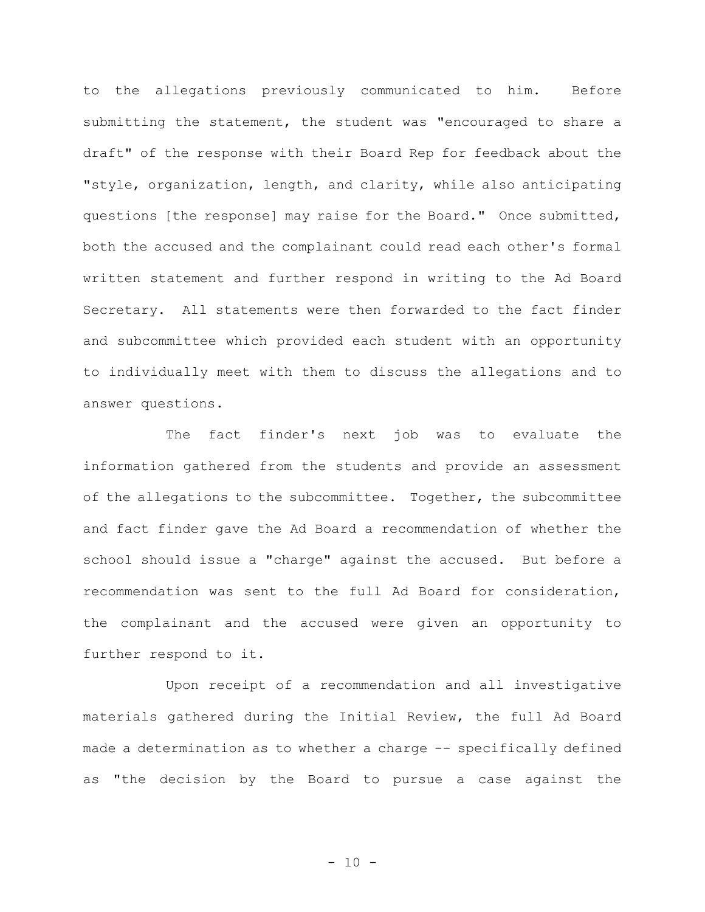to the allegations previously communicated to him. Before submitting the statement, the student was "encouraged to share a draft" of the response with their Board Rep for feedback about the "style, organization, length, and clarity, while also anticipating questions [the response] may raise for the Board." Once submitted, both the accused and the complainant could read each other's formal written statement and further respond in writing to the Ad Board Secretary. All statements were then forwarded to the fact finder and subcommittee which provided each student with an opportunity to individually meet with them to discuss the allegations and to answer questions.

The fact finder's next job was to evaluate the information gathered from the students and provide an assessment of the allegations to the subcommittee. Together, the subcommittee and fact finder gave the Ad Board a recommendation of whether the school should issue a "charge" against the accused. But before a recommendation was sent to the full Ad Board for consideration, the complainant and the accused were given an opportunity to further respond to it.

Upon receipt of a recommendation and all investigative materials gathered during the Initial Review, the full Ad Board made a determination as to whether a charge -- specifically defined as "the decision by the Board to pursue a case against the

 $- 10 -$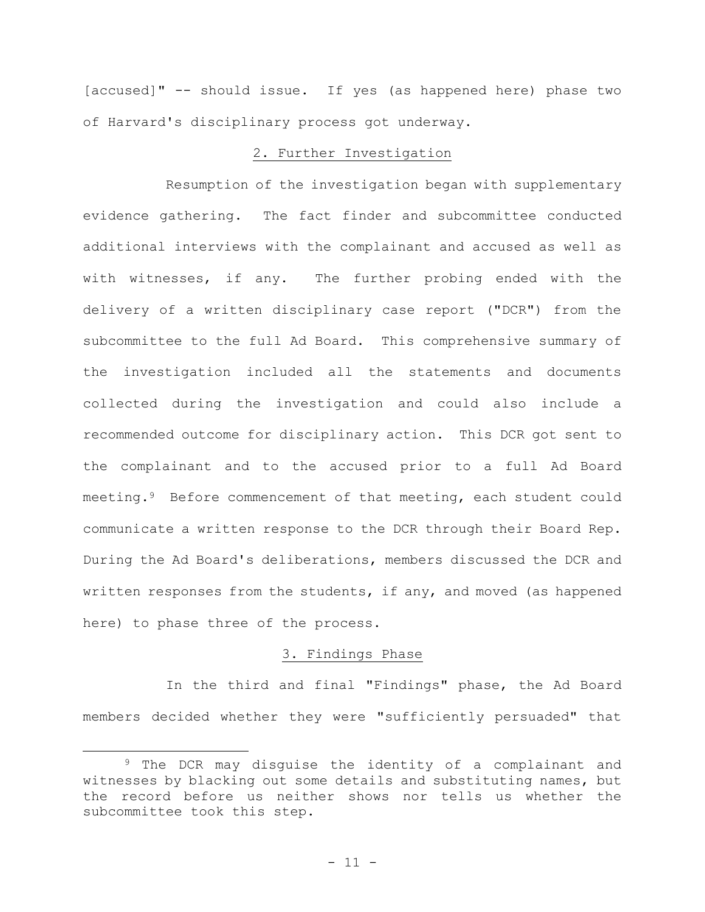[accused]" -- should issue. If yes (as happened here) phase two of Harvard's disciplinary process got underway.

# 2. Further Investigation

Resumption of the investigation began with supplementary evidence gathering. The fact finder and subcommittee conducted additional interviews with the complainant and accused as well as with witnesses, if any. The further probing ended with the delivery of a written disciplinary case report ("DCR") from the subcommittee to the full Ad Board. This comprehensive summary of the investigation included all the statements and documents collected during the investigation and could also include a recommended outcome for disciplinary action. This DCR got sent to the complainant and to the accused prior to a full Ad Board meeting.<sup>9</sup> Before commencement of that meeting, each student could communicate a written response to the DCR through their Board Rep. During the Ad Board's deliberations, members discussed the DCR and written responses from the students, if any, and moved (as happened here) to phase three of the process.

## 3. Findings Phase

In the third and final "Findings" phase, the Ad Board members decided whether they were "sufficiently persuaded" that

<sup>&</sup>lt;sup>9</sup> The DCR may disquise the identity of a complainant and witnesses by blacking out some details and substituting names, but the record before us neither shows nor tells us whether the subcommittee took this step.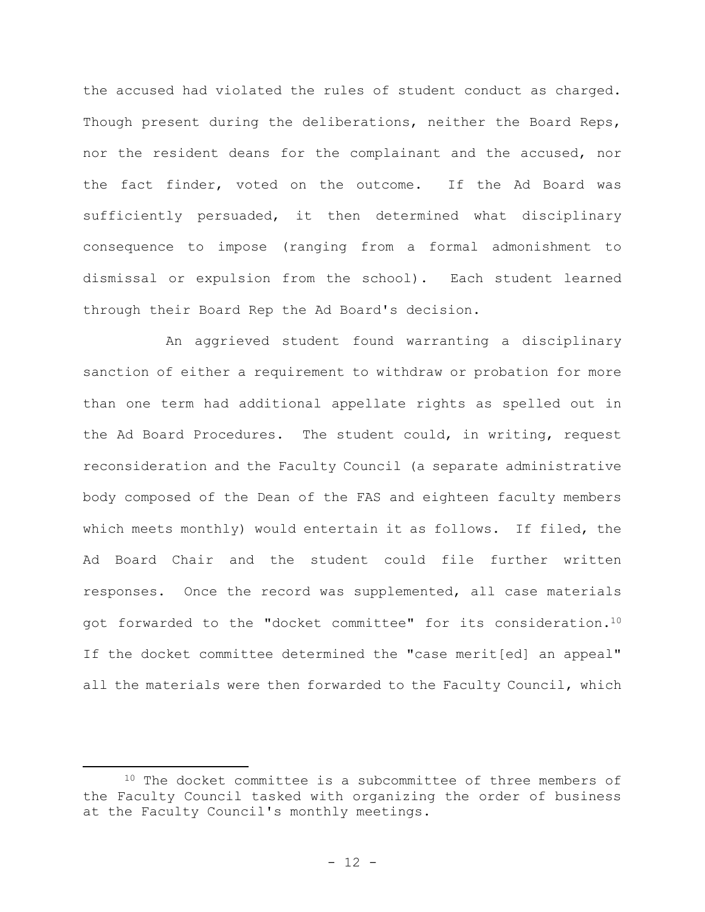the accused had violated the rules of student conduct as charged. Though present during the deliberations, neither the Board Reps, nor the resident deans for the complainant and the accused, nor the fact finder, voted on the outcome. If the Ad Board was sufficiently persuaded, it then determined what disciplinary consequence to impose (ranging from a formal admonishment to dismissal or expulsion from the school). Each student learned through their Board Rep the Ad Board's decision.

An aggrieved student found warranting a disciplinary sanction of either a requirement to withdraw or probation for more than one term had additional appellate rights as spelled out in the Ad Board Procedures. The student could, in writing, request reconsideration and the Faculty Council (a separate administrative body composed of the Dean of the FAS and eighteen faculty members which meets monthly) would entertain it as follows. If filed, the Ad Board Chair and the student could file further written responses. Once the record was supplemented, all case materials got forwarded to the "docket committee" for its consideration.<sup>10</sup> If the docket committee determined the "case merit[ed] an appeal" all the materials were then forwarded to the Faculty Council, which

<sup>&</sup>lt;sup>10</sup> The docket committee is a subcommittee of three members of the Faculty Council tasked with organizing the order of business at the Faculty Council's monthly meetings.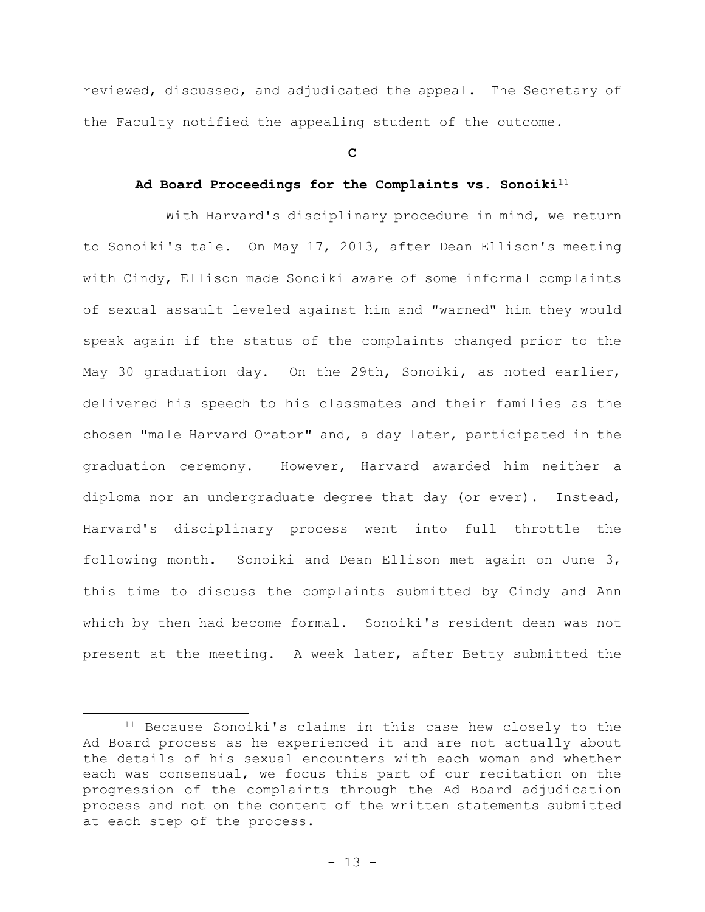reviewed, discussed, and adjudicated the appeal. The Secretary of the Faculty notified the appealing student of the outcome.

#### **C**

# **Ad Board Proceedings for the Complaints vs. Sonoiki**<sup>11</sup>

With Harvard's disciplinary procedure in mind, we return to Sonoiki's tale. On May 17, 2013, after Dean Ellison's meeting with Cindy, Ellison made Sonoiki aware of some informal complaints of sexual assault leveled against him and "warned" him they would speak again if the status of the complaints changed prior to the May 30 graduation day. On the 29th, Sonoiki, as noted earlier, delivered his speech to his classmates and their families as the chosen "male Harvard Orator" and, a day later, participated in the graduation ceremony. However, Harvard awarded him neither a diploma nor an undergraduate degree that day (or ever). Instead, Harvard's disciplinary process went into full throttle the following month. Sonoiki and Dean Ellison met again on June 3, this time to discuss the complaints submitted by Cindy and Ann which by then had become formal. Sonoiki's resident dean was not present at the meeting. A week later, after Betty submitted the

<sup>11</sup> Because Sonoiki's claims in this case hew closely to the Ad Board process as he experienced it and are not actually about the details of his sexual encounters with each woman and whether each was consensual, we focus this part of our recitation on the progression of the complaints through the Ad Board adjudication process and not on the content of the written statements submitted at each step of the process.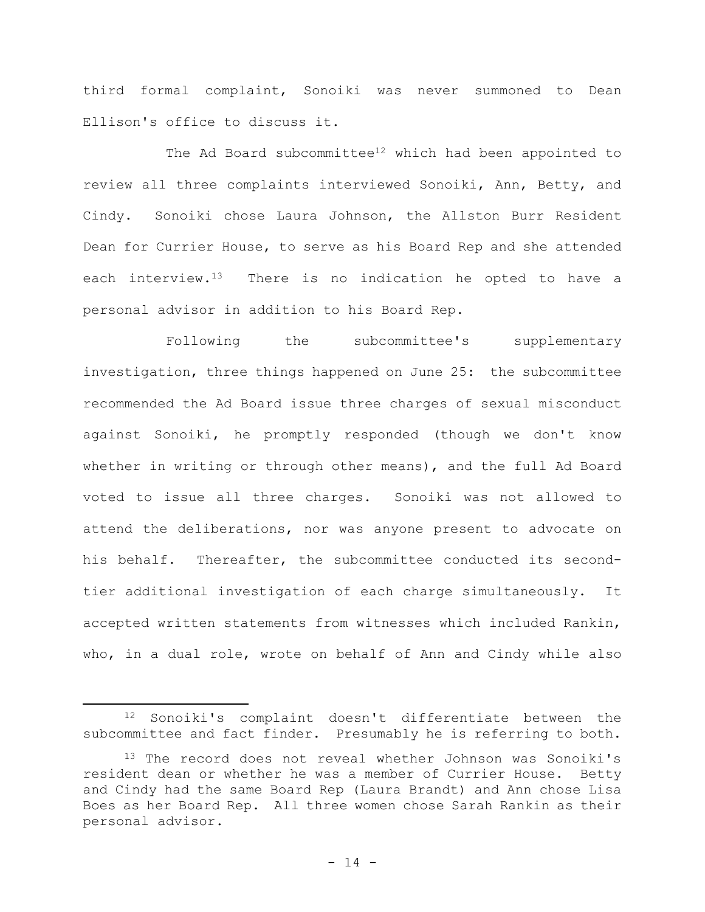third formal complaint, Sonoiki was never summoned to Dean Ellison's office to discuss it.

The Ad Board subcommittee<sup>12</sup> which had been appointed to review all three complaints interviewed Sonoiki, Ann, Betty, and Cindy. Sonoiki chose Laura Johnson, the Allston Burr Resident Dean for Currier House, to serve as his Board Rep and she attended each interview.<sup>13</sup> There is no indication he opted to have a personal advisor in addition to his Board Rep.

Following the subcommittee's supplementary investigation, three things happened on June 25: the subcommittee recommended the Ad Board issue three charges of sexual misconduct against Sonoiki, he promptly responded (though we don't know whether in writing or through other means), and the full Ad Board voted to issue all three charges. Sonoiki was not allowed to attend the deliberations, nor was anyone present to advocate on his behalf. Thereafter, the subcommittee conducted its secondtier additional investigation of each charge simultaneously. It accepted written statements from witnesses which included Rankin, who, in a dual role, wrote on behalf of Ann and Cindy while also

<sup>12</sup> Sonoiki's complaint doesn't differentiate between the subcommittee and fact finder. Presumably he is referring to both.

<sup>&</sup>lt;sup>13</sup> The record does not reveal whether Johnson was Sonoiki's resident dean or whether he was a member of Currier House. Betty and Cindy had the same Board Rep (Laura Brandt) and Ann chose Lisa Boes as her Board Rep. All three women chose Sarah Rankin as their personal advisor.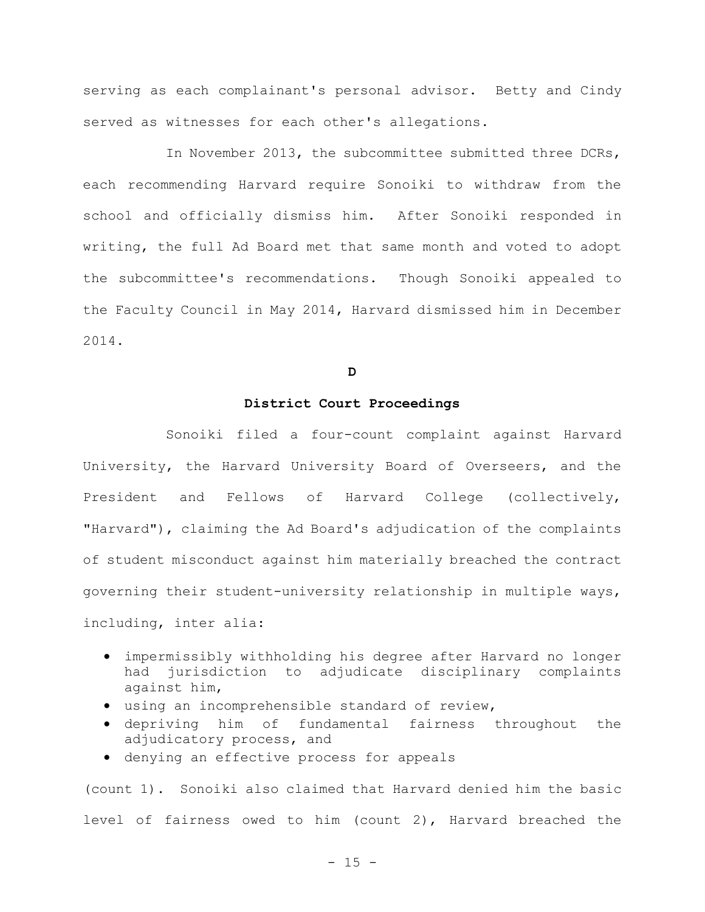serving as each complainant's personal advisor. Betty and Cindy served as witnesses for each other's allegations.

In November 2013, the subcommittee submitted three DCRs, each recommending Harvard require Sonoiki to withdraw from the school and officially dismiss him. After Sonoiki responded in writing, the full Ad Board met that same month and voted to adopt the subcommittee's recommendations. Though Sonoiki appealed to the Faculty Council in May 2014, Harvard dismissed him in December 2014.

**D**

## **District Court Proceedings**

Sonoiki filed a four-count complaint against Harvard University, the Harvard University Board of Overseers, and the President and Fellows of Harvard College (collectively, "Harvard"), claiming the Ad Board's adjudication of the complaints of student misconduct against him materially breached the contract governing their student-university relationship in multiple ways, including, inter alia:

- impermissibly withholding his degree after Harvard no longer had jurisdiction to adjudicate disciplinary complaints against him,
- using an incomprehensible standard of review,
- depriving him of fundamental fairness throughout the adjudicatory process, and
- denying an effective process for appeals

(count 1). Sonoiki also claimed that Harvard denied him the basic level of fairness owed to him (count 2), Harvard breached the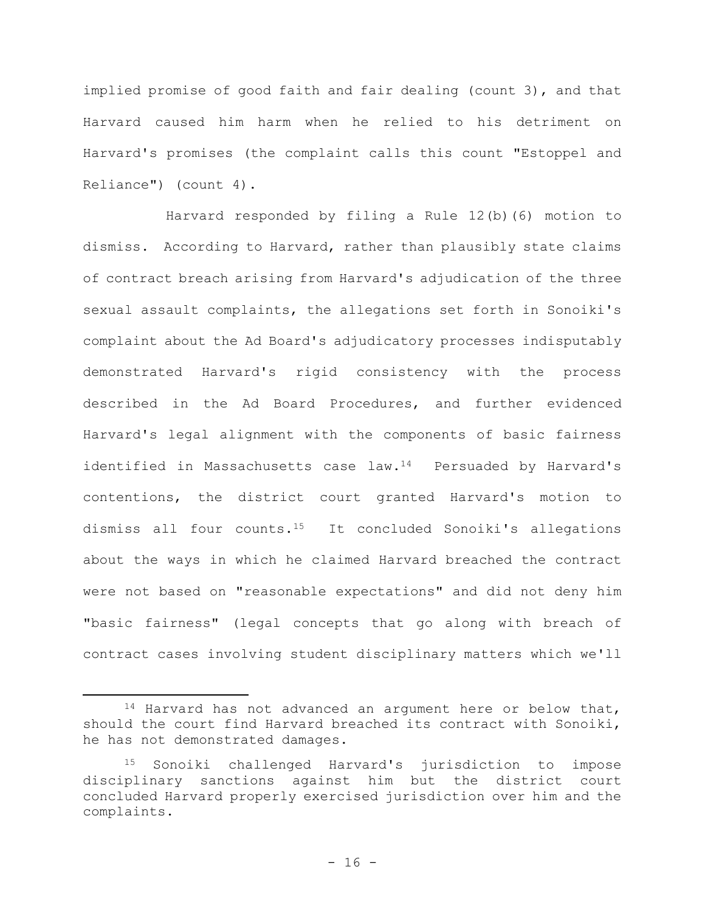implied promise of good faith and fair dealing (count 3), and that Harvard caused him harm when he relied to his detriment on Harvard's promises (the complaint calls this count "Estoppel and Reliance") (count 4).

Harvard responded by filing a Rule 12(b)(6) motion to dismiss. According to Harvard, rather than plausibly state claims of contract breach arising from Harvard's adjudication of the three sexual assault complaints, the allegations set forth in Sonoiki's complaint about the Ad Board's adjudicatory processes indisputably demonstrated Harvard's rigid consistency with the process described in the Ad Board Procedures, and further evidenced Harvard's legal alignment with the components of basic fairness identified in Massachusetts case law.<sup>14</sup> Persuaded by Harvard's contentions, the district court granted Harvard's motion to dismiss all four counts.15 It concluded Sonoiki's allegations about the ways in which he claimed Harvard breached the contract were not based on "reasonable expectations" and did not deny him "basic fairness" (legal concepts that go along with breach of contract cases involving student disciplinary matters which we'll

<sup>14</sup> Harvard has not advanced an argument here or below that, should the court find Harvard breached its contract with Sonoiki, he has not demonstrated damages.

<sup>15</sup> Sonoiki challenged Harvard's jurisdiction to impose disciplinary sanctions against him but the district court concluded Harvard properly exercised jurisdiction over him and the complaints.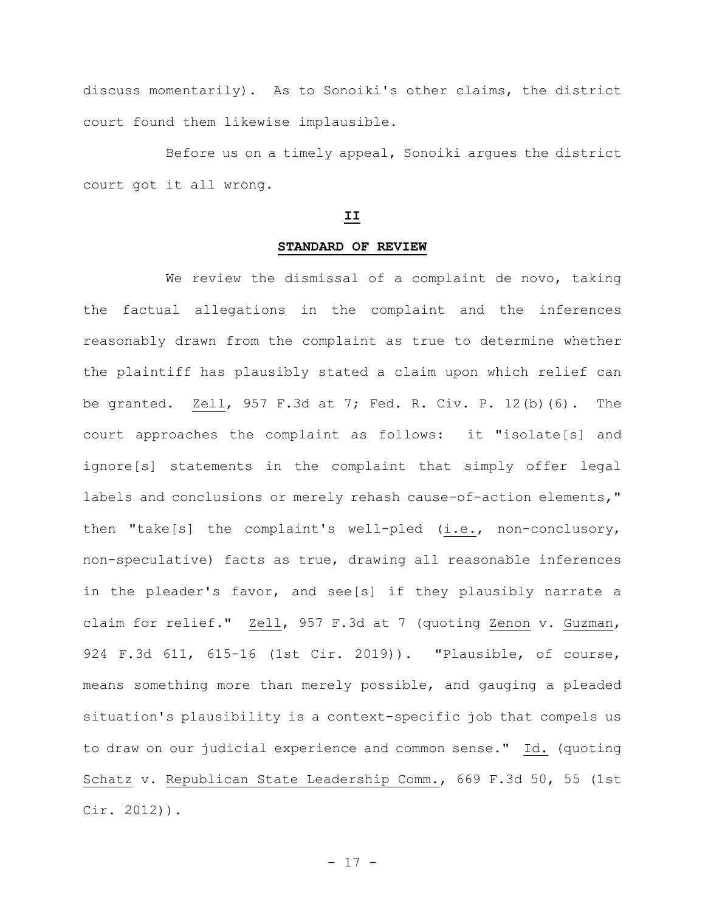discuss momentarily). As to Sonoiki's other claims, the district court found them likewise implausible.

Before us on a timely appeal, Sonoiki argues the district court got it all wrong.

# **II**

## **STANDARD OF REVIEW**

We review the dismissal of a complaint de novo, taking the factual allegations in the complaint and the inferences reasonably drawn from the complaint as true to determine whether the plaintiff has plausibly stated a claim upon which relief can be granted. Zell, 957 F.3d at 7; Fed. R. Civ. P. 12(b)(6). The court approaches the complaint as follows: it "isolate[s] and ignore[s] statements in the complaint that simply offer legal labels and conclusions or merely rehash cause-of-action elements," then "take[s] the complaint's well-pled (i.e., non-conclusory, non-speculative) facts as true, drawing all reasonable inferences in the pleader's favor, and see[s] if they plausibly narrate a claim for relief." Zell, 957 F.3d at 7 (quoting Zenon v. Guzman, 924 F.3d 611, 615-16 (1st Cir. 2019)). "Plausible, of course, means something more than merely possible, and gauging a pleaded situation's plausibility is a context-specific job that compels us to draw on our judicial experience and common sense." Id. (quoting Schatz v. Republican State Leadership Comm., 669 F.3d 50, 55 (1st Cir. 2012)).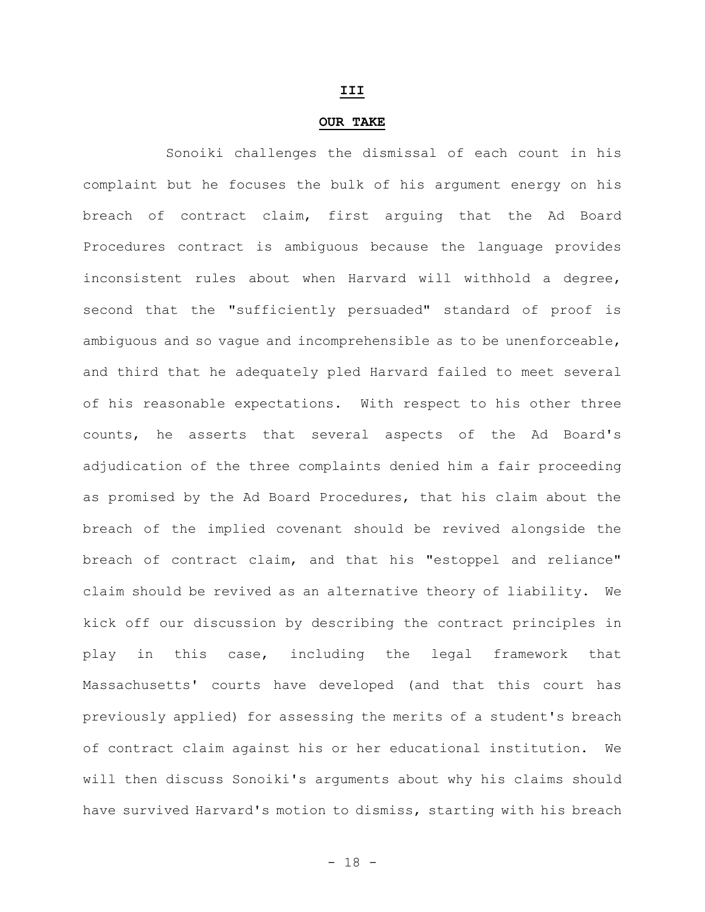#### **III**

#### **OUR TAKE**

Sonoiki challenges the dismissal of each count in his complaint but he focuses the bulk of his argument energy on his breach of contract claim, first arguing that the Ad Board Procedures contract is ambiguous because the language provides inconsistent rules about when Harvard will withhold a degree, second that the "sufficiently persuaded" standard of proof is ambiguous and so vague and incomprehensible as to be unenforceable, and third that he adequately pled Harvard failed to meet several of his reasonable expectations. With respect to his other three counts, he asserts that several aspects of the Ad Board's adjudication of the three complaints denied him a fair proceeding as promised by the Ad Board Procedures, that his claim about the breach of the implied covenant should be revived alongside the breach of contract claim, and that his "estoppel and reliance" claim should be revived as an alternative theory of liability. We kick off our discussion by describing the contract principles in play in this case, including the legal framework that Massachusetts' courts have developed (and that this court has previously applied) for assessing the merits of a student's breach of contract claim against his or her educational institution. will then discuss Sonoiki's arguments about why his claims should have survived Harvard's motion to dismiss, starting with his breach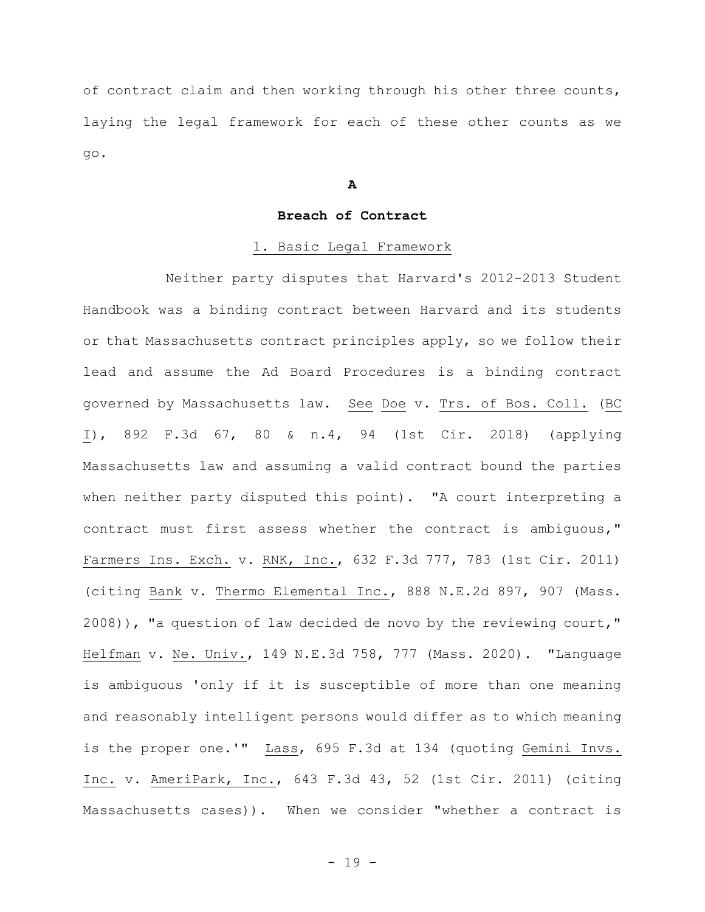of contract claim and then working through his other three counts, laying the legal framework for each of these other counts as we go.

**A**

# **Breach of Contract**

# 1. Basic Legal Framework

Neither party disputes that Harvard's 2012-2013 Student Handbook was a binding contract between Harvard and its students or that Massachusetts contract principles apply, so we follow their lead and assume the Ad Board Procedures is a binding contract governed by Massachusetts law. See Doe v. Trs. of Bos. Coll. (BC I), 892 F.3d 67, 80 & n.4, 94 (1st Cir. 2018) (applying Massachusetts law and assuming a valid contract bound the parties when neither party disputed this point). "A court interpreting a contract must first assess whether the contract is ambiguous," Farmers Ins. Exch. v. RNK, Inc., 632 F.3d 777, 783 (1st Cir. 2011) (citing Bank v. Thermo Elemental Inc., 888 N.E.2d 897, 907 (Mass. 2008)), "a question of law decided de novo by the reviewing court," Helfman v. Ne. Univ., 149 N.E.3d 758, 777 (Mass. 2020). "Language is ambiguous 'only if it is susceptible of more than one meaning and reasonably intelligent persons would differ as to which meaning is the proper one.'" Lass, 695 F.3d at 134 (quoting Gemini Invs. Inc. v. AmeriPark, Inc., 643 F.3d 43, 52 (1st Cir. 2011) (citing Massachusetts cases)). When we consider "whether a contract is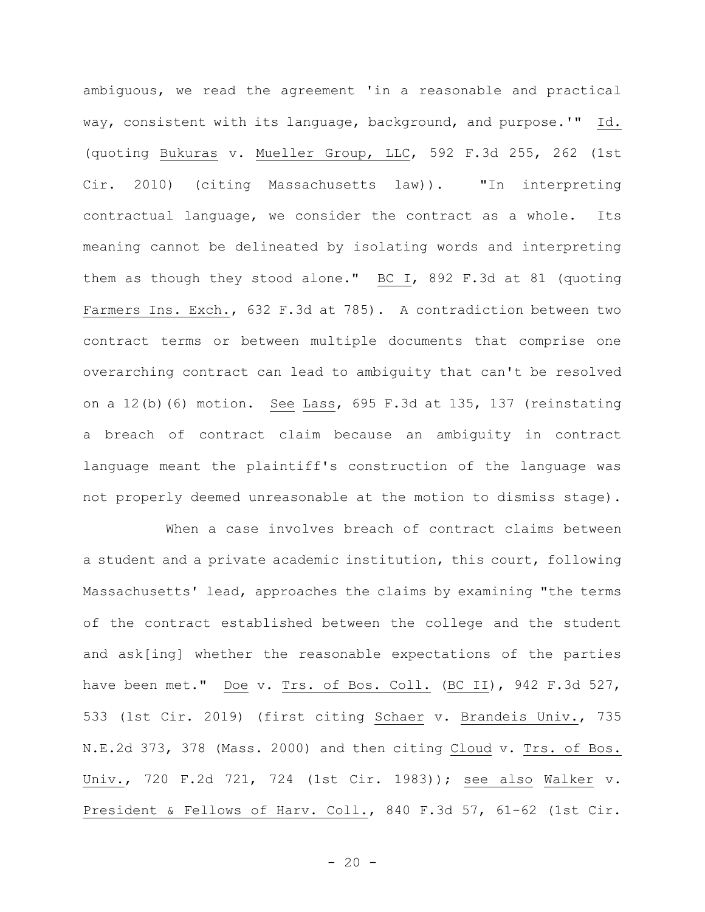ambiguous, we read the agreement 'in a reasonable and practical way, consistent with its language, background, and purpose.'" Id. (quoting Bukuras v. Mueller Group, LLC, 592 F.3d 255, 262 (1st Cir. 2010) (citing Massachusetts law)). "In interpreting contractual language, we consider the contract as a whole. Its meaning cannot be delineated by isolating words and interpreting them as though they stood alone." BC I, 892 F.3d at 81 (quoting Farmers Ins. Exch., 632 F.3d at 785). A contradiction between two contract terms or between multiple documents that comprise one overarching contract can lead to ambiguity that can't be resolved on a 12(b)(6) motion. See Lass, 695 F.3d at 135, 137 (reinstating a breach of contract claim because an ambiguity in contract language meant the plaintiff's construction of the language was not properly deemed unreasonable at the motion to dismiss stage).

When a case involves breach of contract claims between a student and a private academic institution, this court, following Massachusetts' lead, approaches the claims by examining "the terms of the contract established between the college and the student and ask[ing] whether the reasonable expectations of the parties have been met." Doe v. Trs. of Bos. Coll. (BC II), 942 F.3d 527, 533 (1st Cir. 2019) (first citing Schaer v. Brandeis Univ., 735 N.E.2d 373, 378 (Mass. 2000) and then citing Cloud v. Trs. of Bos. Univ., 720 F.2d 721, 724 (1st Cir. 1983)); see also Walker v. President & Fellows of Harv. Coll., 840 F.3d 57, 61-62 (1st Cir.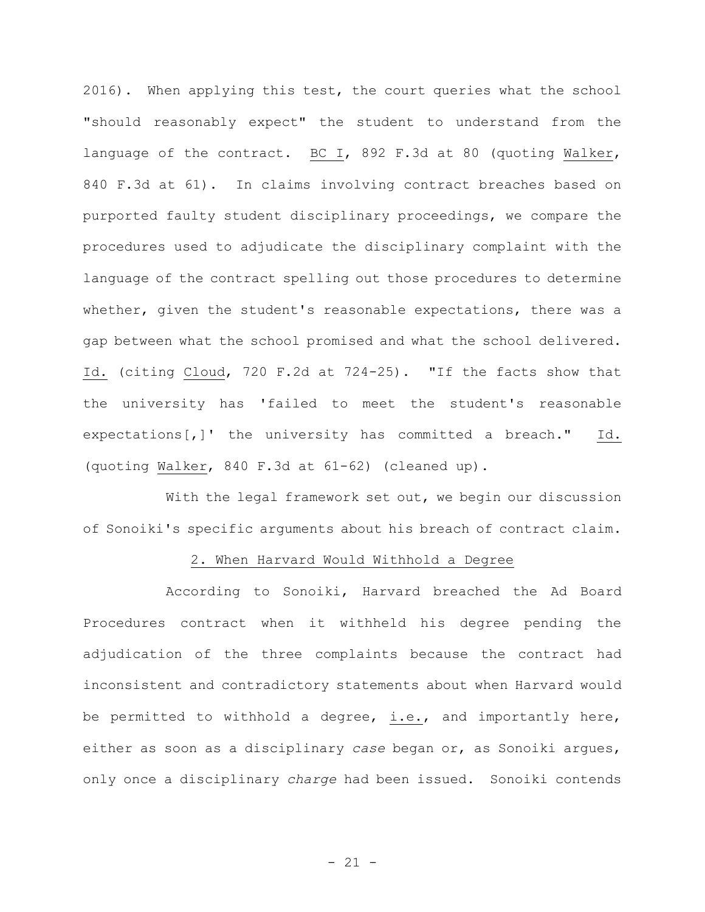2016). When applying this test, the court queries what the school "should reasonably expect" the student to understand from the language of the contract. BC I, 892 F.3d at 80 (quoting Walker, 840 F.3d at 61). In claims involving contract breaches based on purported faulty student disciplinary proceedings, we compare the procedures used to adjudicate the disciplinary complaint with the language of the contract spelling out those procedures to determine whether, given the student's reasonable expectations, there was a gap between what the school promised and what the school delivered. Id. (citing Cloud, 720 F.2d at 724-25). "If the facts show that the university has 'failed to meet the student's reasonable expectations[,]' the university has committed a breach." Id. (quoting Walker, 840 F.3d at 61-62) (cleaned up).

With the legal framework set out, we begin our discussion of Sonoiki's specific arguments about his breach of contract claim.

# 2. When Harvard Would Withhold a Degree

According to Sonoiki, Harvard breached the Ad Board Procedures contract when it withheld his degree pending the adjudication of the three complaints because the contract had inconsistent and contradictory statements about when Harvard would be permitted to withhold a degree, i.e., and importantly here, either as soon as a disciplinary *case* began or, as Sonoiki argues, only once a disciplinary *charge* had been issued. Sonoiki contends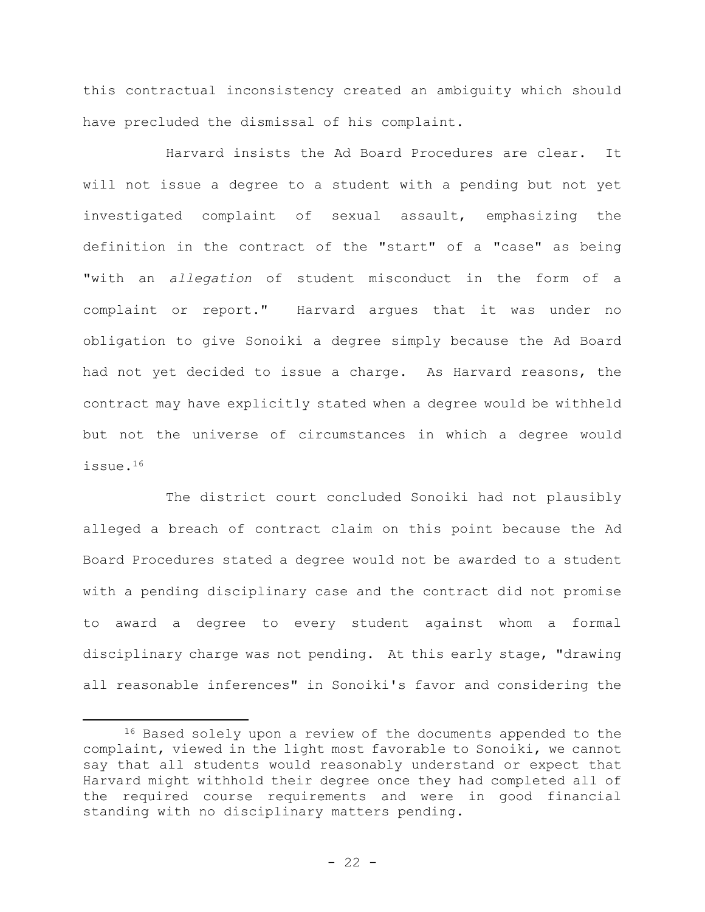this contractual inconsistency created an ambiguity which should have precluded the dismissal of his complaint.

Harvard insists the Ad Board Procedures are clear. It will not issue a degree to a student with a pending but not yet investigated complaint of sexual assault, emphasizing the definition in the contract of the "start" of a "case" as being "with an *allegation* of student misconduct in the form of a complaint or report." Harvard argues that it was under no obligation to give Sonoiki a degree simply because the Ad Board had not yet decided to issue a charge. As Harvard reasons, the contract may have explicitly stated when a degree would be withheld but not the universe of circumstances in which a degree would issue.<sup>16</sup>

The district court concluded Sonoiki had not plausibly alleged a breach of contract claim on this point because the Ad Board Procedures stated a degree would not be awarded to a student with a pending disciplinary case and the contract did not promise to award a degree to every student against whom a formal disciplinary charge was not pending. At this early stage, "drawing all reasonable inferences" in Sonoiki's favor and considering the

<sup>&</sup>lt;sup>16</sup> Based solely upon a review of the documents appended to the complaint, viewed in the light most favorable to Sonoiki, we cannot say that all students would reasonably understand or expect that Harvard might withhold their degree once they had completed all of the required course requirements and were in good financial standing with no disciplinary matters pending.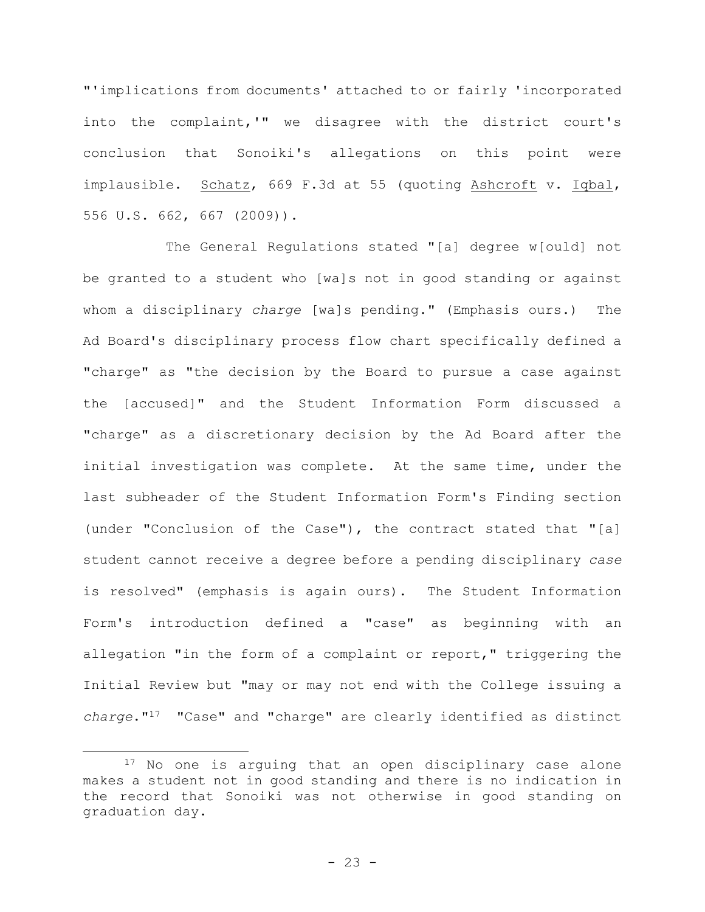"'implications from documents' attached to or fairly 'incorporated into the complaint,'" we disagree with the district court's conclusion that Sonoiki's allegations on this point were implausible. Schatz, 669 F.3d at 55 (quoting Ashcroft v. Iqbal, 556 U.S. 662, 667 (2009)).

The General Regulations stated "[a] degree w[ould] not be granted to a student who [wa]s not in good standing or against whom a disciplinary *charge* [wa]s pending." (Emphasis ours.) The Ad Board's disciplinary process flow chart specifically defined a "charge" as "the decision by the Board to pursue a case against the [accused]" and the Student Information Form discussed a "charge" as a discretionary decision by the Ad Board after the initial investigation was complete. At the same time, under the last subheader of the Student Information Form's Finding section (under "Conclusion of the Case"), the contract stated that "[a] student cannot receive a degree before a pending disciplinary *case* is resolved" (emphasis is again ours). The Student Information Form's introduction defined a "case" as beginning with an allegation "in the form of a complaint or report," triggering the Initial Review but "may or may not end with the College issuing a *charge*."<sup>17</sup> "Case" and "charge" are clearly identified as distinct

<sup>&</sup>lt;sup>17</sup> No one is arguing that an open disciplinary case alone makes a student not in good standing and there is no indication in the record that Sonoiki was not otherwise in good standing on graduation day.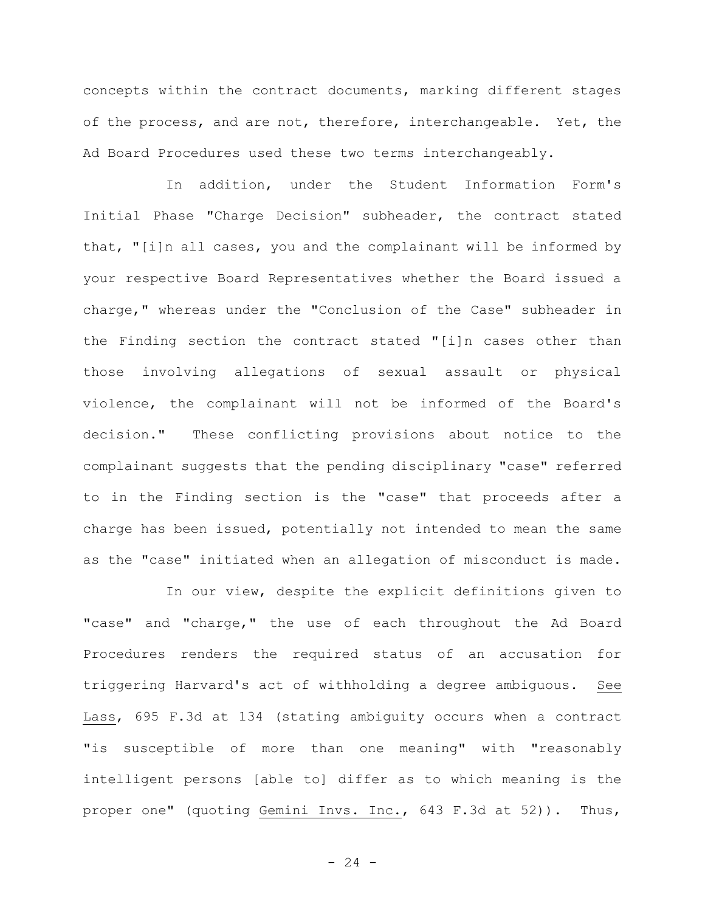concepts within the contract documents, marking different stages of the process, and are not, therefore, interchangeable. Yet, the Ad Board Procedures used these two terms interchangeably.

In addition, under the Student Information Form's Initial Phase "Charge Decision" subheader, the contract stated that, "[i]n all cases, you and the complainant will be informed by your respective Board Representatives whether the Board issued a charge," whereas under the "Conclusion of the Case" subheader in the Finding section the contract stated "[i]n cases other than those involving allegations of sexual assault or physical violence, the complainant will not be informed of the Board's decision." These conflicting provisions about notice to the complainant suggests that the pending disciplinary "case" referred to in the Finding section is the "case" that proceeds after a charge has been issued, potentially not intended to mean the same as the "case" initiated when an allegation of misconduct is made.

In our view, despite the explicit definitions given to "case" and "charge," the use of each throughout the Ad Board Procedures renders the required status of an accusation for triggering Harvard's act of withholding a degree ambiguous. See Lass, 695 F.3d at 134 (stating ambiguity occurs when a contract "is susceptible of more than one meaning" with "reasonably intelligent persons [able to] differ as to which meaning is the proper one" (quoting Gemini Invs. Inc., 643 F.3d at 52)). Thus,

 $- 24 -$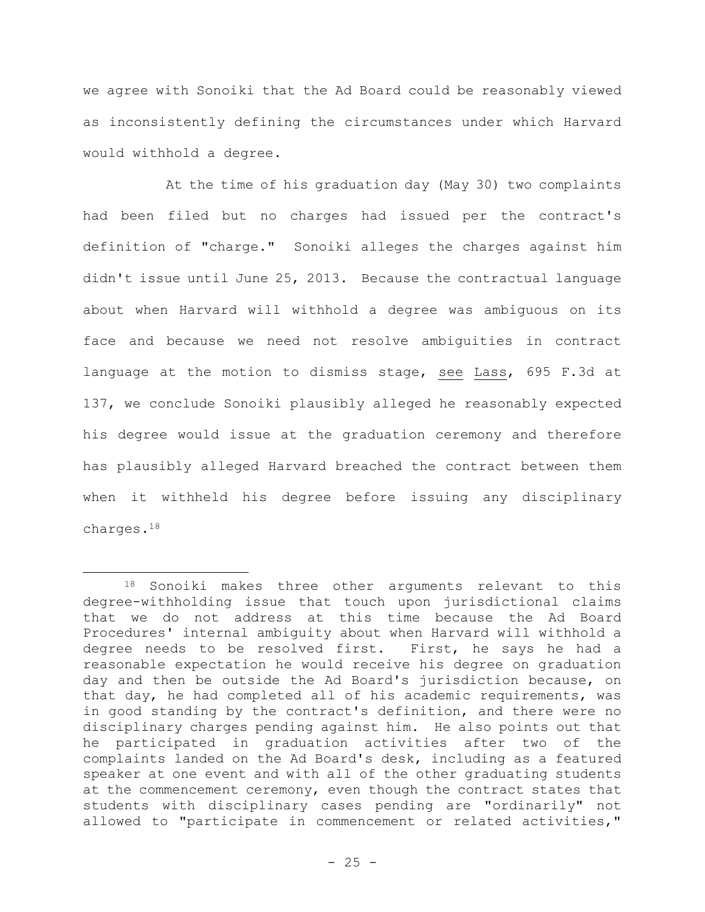we agree with Sonoiki that the Ad Board could be reasonably viewed as inconsistently defining the circumstances under which Harvard would withhold a degree.

At the time of his graduation day (May 30) two complaints had been filed but no charges had issued per the contract's definition of "charge." Sonoiki alleges the charges against him didn't issue until June 25, 2013. Because the contractual language about when Harvard will withhold a degree was ambiguous on its face and because we need not resolve ambiguities in contract language at the motion to dismiss stage, see Lass, 695 F.3d at 137, we conclude Sonoiki plausibly alleged he reasonably expected his degree would issue at the graduation ceremony and therefore has plausibly alleged Harvard breached the contract between them when it withheld his degree before issuing any disciplinary charges.<sup>18</sup>

<sup>18</sup> Sonoiki makes three other arguments relevant to this degree-withholding issue that touch upon jurisdictional claims that we do not address at this time because the Ad Board Procedures' internal ambiguity about when Harvard will withhold a degree needs to be resolved first. First, he says he had a reasonable expectation he would receive his degree on graduation day and then be outside the Ad Board's jurisdiction because, on that day, he had completed all of his academic requirements, was in good standing by the contract's definition, and there were no disciplinary charges pending against him. He also points out that he participated in graduation activities after two of the complaints landed on the Ad Board's desk, including as a featured speaker at one event and with all of the other graduating students at the commencement ceremony, even though the contract states that students with disciplinary cases pending are "ordinarily" not allowed to "participate in commencement or related activities,"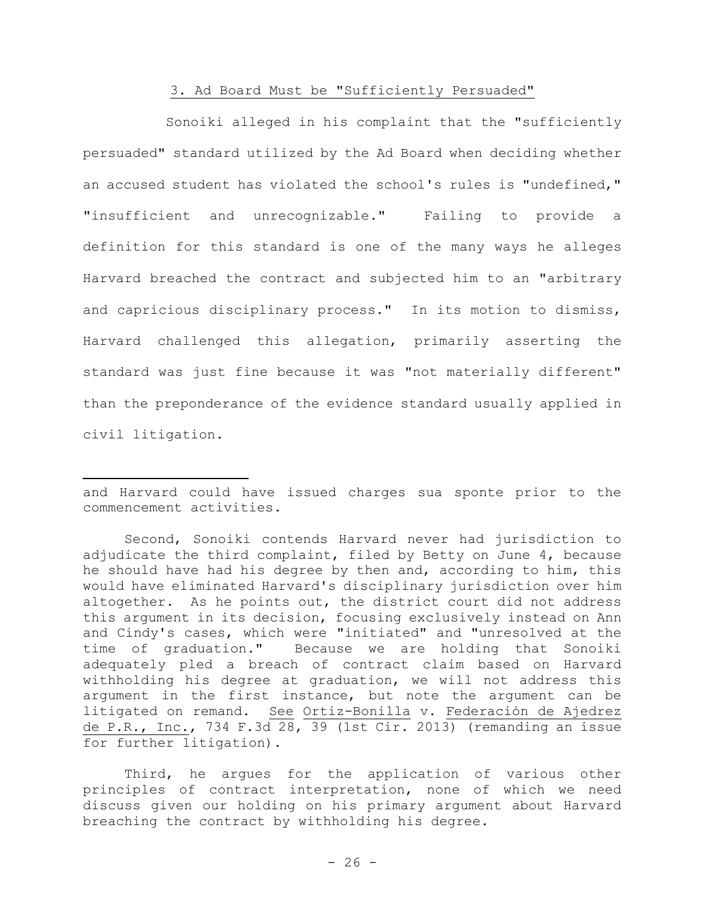## 3. Ad Board Must be "Sufficiently Persuaded"

Sonoiki alleged in his complaint that the "sufficiently persuaded" standard utilized by the Ad Board when deciding whether an accused student has violated the school's rules is "undefined," "insufficient and unrecognizable." Failing to provide a definition for this standard is one of the many ways he alleges Harvard breached the contract and subjected him to an "arbitrary and capricious disciplinary process." In its motion to dismiss, Harvard challenged this allegation, primarily asserting the standard was just fine because it was "not materially different" than the preponderance of the evidence standard usually applied in civil litigation.

and Harvard could have issued charges sua sponte prior to the commencement activities.

Second, Sonoiki contends Harvard never had jurisdiction to adjudicate the third complaint, filed by Betty on June 4, because he should have had his degree by then and, according to him, this would have eliminated Harvard's disciplinary jurisdiction over him altogether. As he points out, the district court did not address this argument in its decision, focusing exclusively instead on Ann and Cindy's cases, which were "initiated" and "unresolved at the time of graduation." Because we are holding that Sonoiki adequately pled a breach of contract claim based on Harvard withholding his degree at graduation, we will not address this argument in the first instance, but note the argument can be litigated on remand. See Ortiz-Bonilla v. Federación de Ajedrez de P.R., Inc., 734 F.3d 28, 39 (1st Cir. 2013) (remanding an issue for further litigation).

Third, he argues for the application of various other principles of contract interpretation, none of which we need discuss given our holding on his primary argument about Harvard breaching the contract by withholding his degree.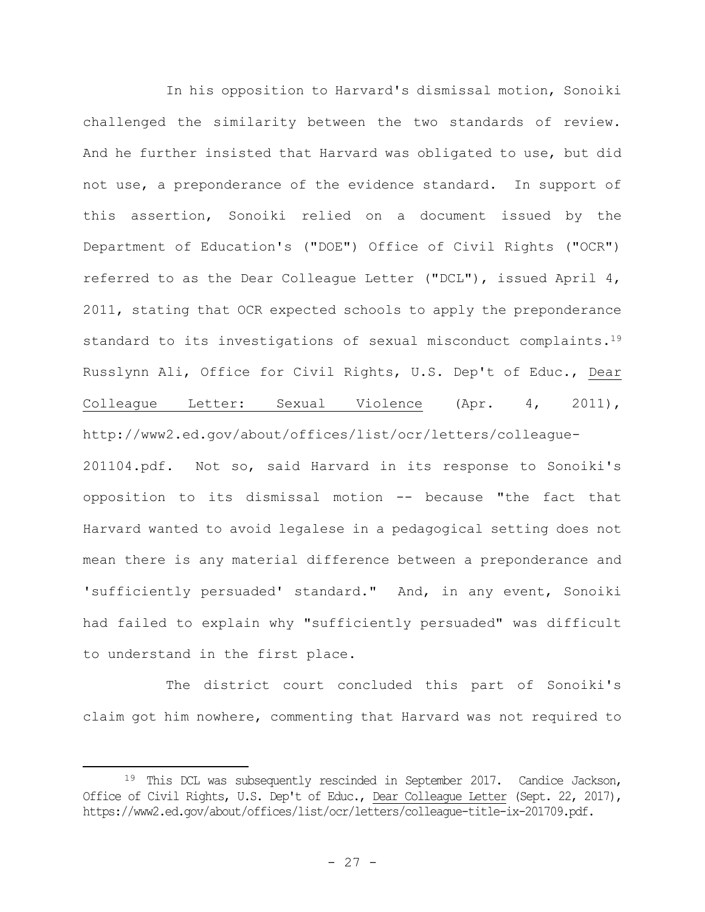In his opposition to Harvard's dismissal motion, Sonoiki challenged the similarity between the two standards of review. And he further insisted that Harvard was obligated to use, but did not use, a preponderance of the evidence standard. In support of this assertion, Sonoiki relied on a document issued by the Department of Education's ("DOE") Office of Civil Rights ("OCR") referred to as the Dear Colleague Letter ("DCL"), issued April 4, 2011, stating that OCR expected schools to apply the preponderance standard to its investigations of sexual misconduct complaints.<sup>19</sup> Russlynn Ali, Office for Civil Rights, U.S. Dep't of Educ., Dear Colleague Letter: Sexual Violence (Apr. 4, 2011), http://www2.ed.gov/about/offices/list/ocr/letters/colleague-

201104.pdf. Not so, said Harvard in its response to Sonoiki's opposition to its dismissal motion -- because "the fact that Harvard wanted to avoid legalese in a pedagogical setting does not mean there is any material difference between a preponderance and 'sufficiently persuaded' standard." And, in any event, Sonoiki had failed to explain why "sufficiently persuaded" was difficult to understand in the first place.

The district court concluded this part of Sonoiki's claim got him nowhere, commenting that Harvard was not required to

<sup>19</sup> This DCL was subsequently rescinded in September 2017. Candice Jackson, Office of Civil Rights, U.S. Dep't of Educ., Dear Colleague Letter (Sept. 22, 2017), https://www2.ed.gov/about/offices/list/ocr/letters/colleague-title-ix-201709.pdf.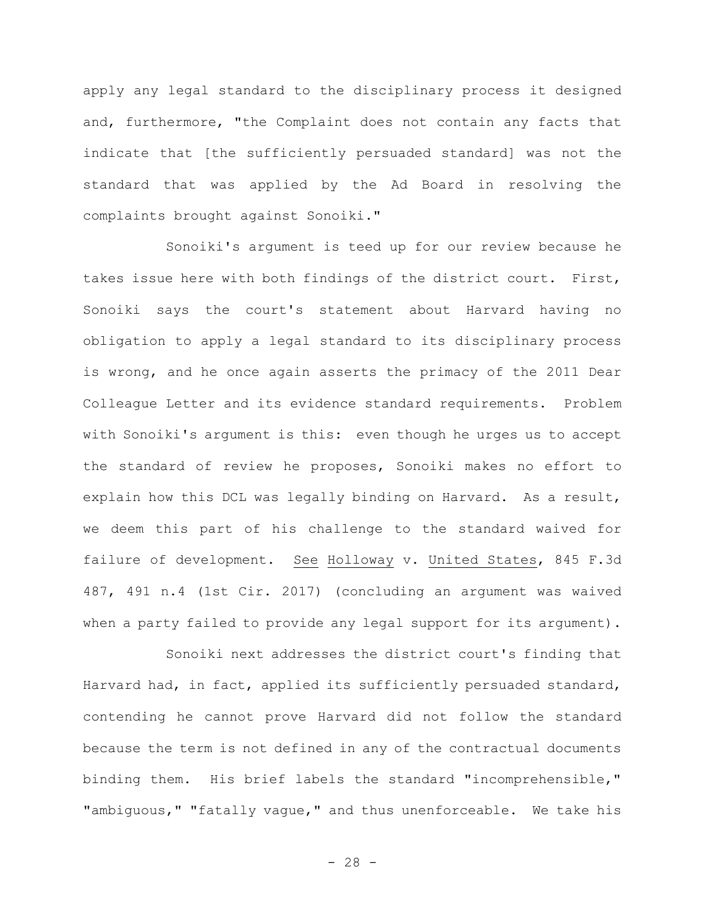apply any legal standard to the disciplinary process it designed and, furthermore, "the Complaint does not contain any facts that indicate that [the sufficiently persuaded standard] was not the standard that was applied by the Ad Board in resolving the complaints brought against Sonoiki."

Sonoiki's argument is teed up for our review because he takes issue here with both findings of the district court. First, Sonoiki says the court's statement about Harvard having no obligation to apply a legal standard to its disciplinary process is wrong, and he once again asserts the primacy of the 2011 Dear Colleague Letter and its evidence standard requirements. Problem with Sonoiki's argument is this: even though he urges us to accept the standard of review he proposes, Sonoiki makes no effort to explain how this DCL was legally binding on Harvard. As a result, we deem this part of his challenge to the standard waived for failure of development. See Holloway v. United States, 845 F.3d 487, 491 n.4 (1st Cir. 2017) (concluding an argument was waived when a party failed to provide any legal support for its argument).

Sonoiki next addresses the district court's finding that Harvard had, in fact, applied its sufficiently persuaded standard, contending he cannot prove Harvard did not follow the standard because the term is not defined in any of the contractual documents binding them. His brief labels the standard "incomprehensible," "ambiguous," "fatally vague," and thus unenforceable. We take his

 $- 28 -$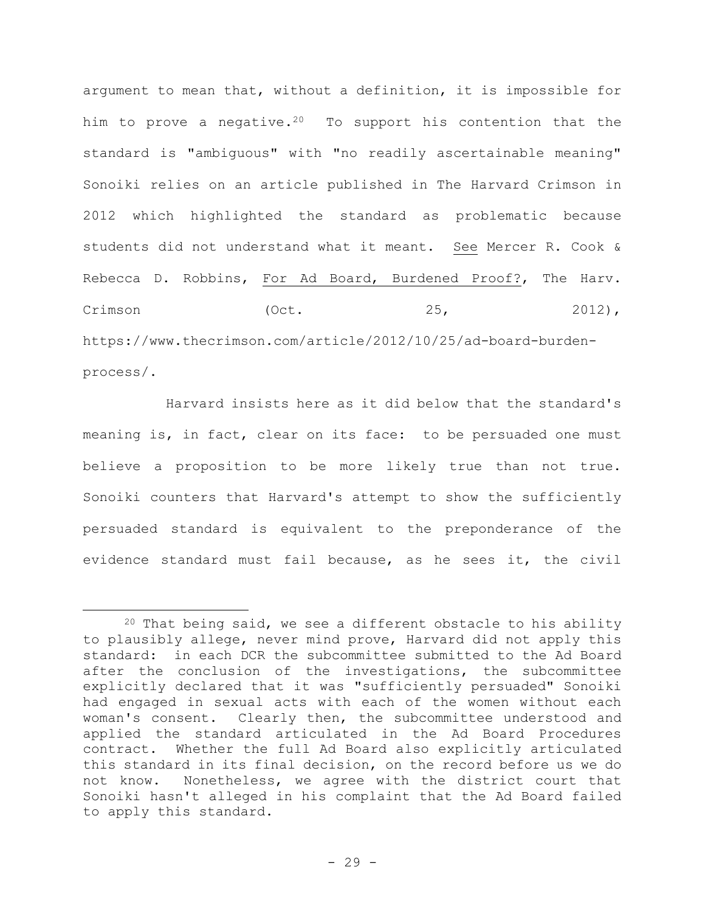argument to mean that, without a definition, it is impossible for him to prove a negative.<sup>20</sup> To support his contention that the standard is "ambiguous" with "no readily ascertainable meaning" Sonoiki relies on an article published in The Harvard Crimson in 2012 which highlighted the standard as problematic because students did not understand what it meant. See Mercer R. Cook & Rebecca D. Robbins, For Ad Board, Burdened Proof?, The Harv.  $Crimson$  (Oct.  $25,$  2012), https://www.thecrimson.com/article/2012/10/25/ad-board-burdenprocess/.

Harvard insists here as it did below that the standard's meaning is, in fact, clear on its face: to be persuaded one must believe a proposition to be more likely true than not true. Sonoiki counters that Harvard's attempt to show the sufficiently persuaded standard is equivalent to the preponderance of the evidence standard must fail because, as he sees it, the civil

 $20$  That being said, we see a different obstacle to his ability to plausibly allege, never mind prove, Harvard did not apply this standard: in each DCR the subcommittee submitted to the Ad Board after the conclusion of the investigations, the subcommittee explicitly declared that it was "sufficiently persuaded" Sonoiki had engaged in sexual acts with each of the women without each woman's consent. Clearly then, the subcommittee understood and applied the standard articulated in the Ad Board Procedures contract. Whether the full Ad Board also explicitly articulated this standard in its final decision, on the record before us we do not know. Nonetheless, we agree with the district court that Sonoiki hasn't alleged in his complaint that the Ad Board failed to apply this standard.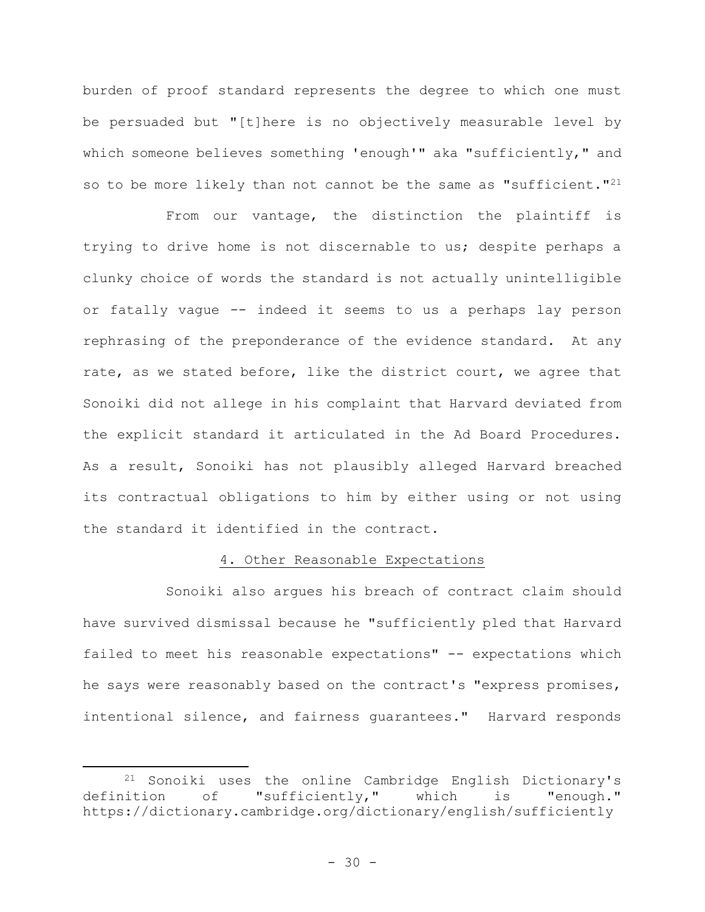burden of proof standard represents the degree to which one must be persuaded but "[t]here is no objectively measurable level by which someone believes something 'enough'" aka "sufficiently," and so to be more likely than not cannot be the same as "sufficient."<sup>21</sup>

From our vantage, the distinction the plaintiff is trying to drive home is not discernable to us; despite perhaps a clunky choice of words the standard is not actually unintelligible or fatally vague -- indeed it seems to us a perhaps lay person rephrasing of the preponderance of the evidence standard. At any rate, as we stated before, like the district court, we agree that Sonoiki did not allege in his complaint that Harvard deviated from the explicit standard it articulated in the Ad Board Procedures. As a result, Sonoiki has not plausibly alleged Harvard breached its contractual obligations to him by either using or not using the standard it identified in the contract.

## 4. Other Reasonable Expectations

Sonoiki also argues his breach of contract claim should have survived dismissal because he "sufficiently pled that Harvard failed to meet his reasonable expectations" -- expectations which he says were reasonably based on the contract's "express promises, intentional silence, and fairness guarantees." Harvard responds

<sup>21</sup> Sonoiki uses the online Cambridge English Dictionary's definition of "sufficiently," which is "enough." https://dictionary.cambridge.org/dictionary/english/sufficiently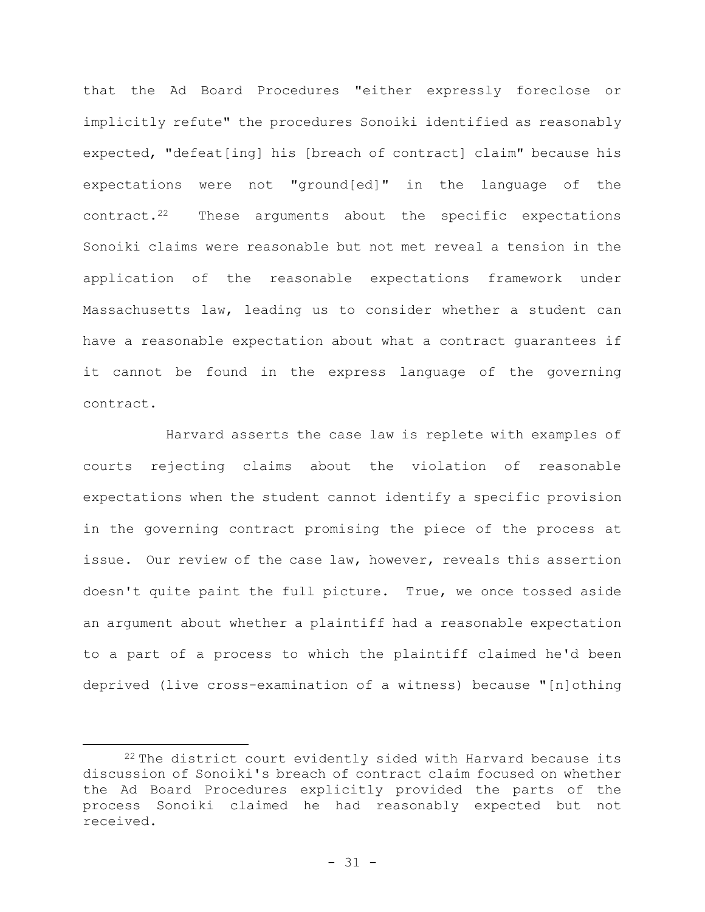that the Ad Board Procedures "either expressly foreclose or implicitly refute" the procedures Sonoiki identified as reasonably expected, "defeat[ing] his [breach of contract] claim" because his expectations were not "ground[ed]" in the language of the contract.<sup>22</sup> These arguments about the specific expectations Sonoiki claims were reasonable but not met reveal a tension in the application of the reasonable expectations framework under Massachusetts law, leading us to consider whether a student can have a reasonable expectation about what a contract guarantees if it cannot be found in the express language of the governing contract.

Harvard asserts the case law is replete with examples of courts rejecting claims about the violation of reasonable expectations when the student cannot identify a specific provision in the governing contract promising the piece of the process at issue. Our review of the case law, however, reveals this assertion doesn't quite paint the full picture. True, we once tossed aside an argument about whether a plaintiff had a reasonable expectation to a part of a process to which the plaintiff claimed he'd been deprived (live cross-examination of a witness) because "[n]othing

<sup>&</sup>lt;sup>22</sup> The district court evidently sided with Harvard because its discussion of Sonoiki's breach of contract claim focused on whether the Ad Board Procedures explicitly provided the parts of the process Sonoiki claimed he had reasonably expected but not received.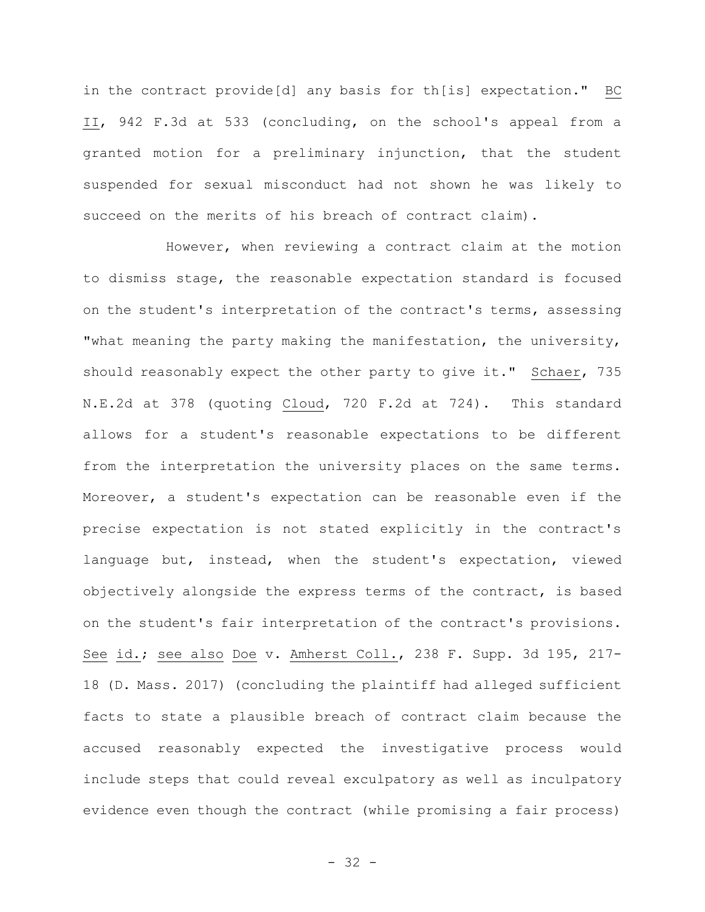in the contract provide[d] any basis for th[is] expectation." BC II, 942 F.3d at 533 (concluding, on the school's appeal from a granted motion for a preliminary injunction, that the student suspended for sexual misconduct had not shown he was likely to succeed on the merits of his breach of contract claim).

However, when reviewing a contract claim at the motion to dismiss stage, the reasonable expectation standard is focused on the student's interpretation of the contract's terms, assessing "what meaning the party making the manifestation, the university, should reasonably expect the other party to give it." Schaer, 735 N.E.2d at 378 (quoting Cloud, 720 F.2d at 724). This standard allows for a student's reasonable expectations to be different from the interpretation the university places on the same terms. Moreover, a student's expectation can be reasonable even if the precise expectation is not stated explicitly in the contract's language but, instead, when the student's expectation, viewed objectively alongside the express terms of the contract, is based on the student's fair interpretation of the contract's provisions. See id.; see also Doe v. Amherst Coll., 238 F. Supp. 3d 195, 217- 18 (D. Mass. 2017) (concluding the plaintiff had alleged sufficient facts to state a plausible breach of contract claim because the accused reasonably expected the investigative process would include steps that could reveal exculpatory as well as inculpatory evidence even though the contract (while promising a fair process)

- 32 -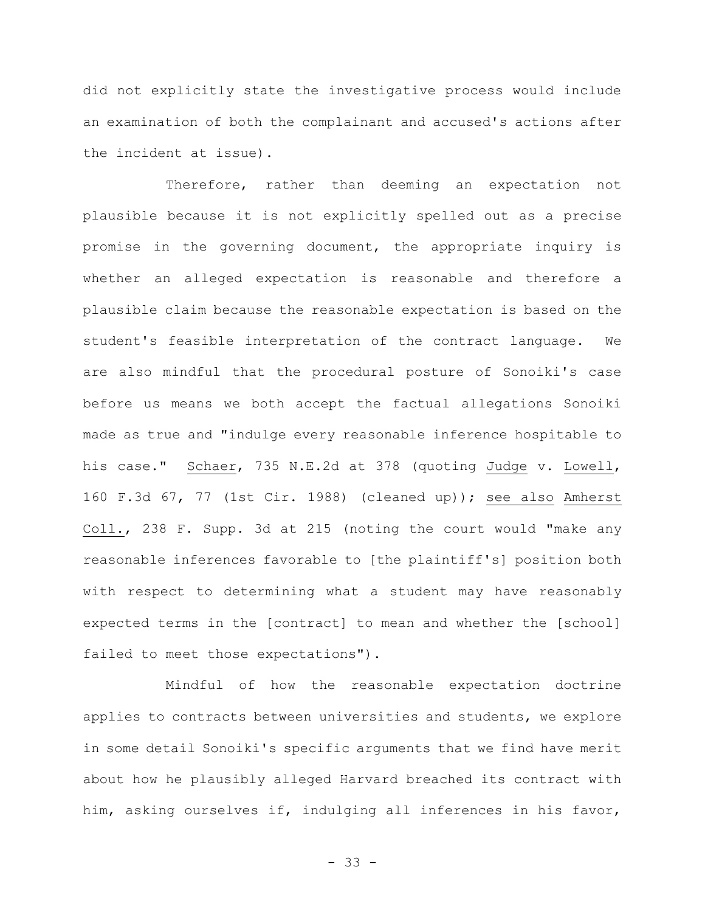did not explicitly state the investigative process would include an examination of both the complainant and accused's actions after the incident at issue).

Therefore, rather than deeming an expectation not plausible because it is not explicitly spelled out as a precise promise in the governing document, the appropriate inquiry is whether an alleged expectation is reasonable and therefore a plausible claim because the reasonable expectation is based on the student's feasible interpretation of the contract language. We are also mindful that the procedural posture of Sonoiki's case before us means we both accept the factual allegations Sonoiki made as true and "indulge every reasonable inference hospitable to his case." Schaer, 735 N.E.2d at 378 (quoting Judge v. Lowell, 160 F.3d 67, 77 (1st Cir. 1988) (cleaned up)); see also Amherst Coll., 238 F. Supp. 3d at 215 (noting the court would "make any reasonable inferences favorable to [the plaintiff's] position both with respect to determining what a student may have reasonably expected terms in the [contract] to mean and whether the [school] failed to meet those expectations").

Mindful of how the reasonable expectation doctrine applies to contracts between universities and students, we explore in some detail Sonoiki's specific arguments that we find have merit about how he plausibly alleged Harvard breached its contract with him, asking ourselves if, indulging all inferences in his favor,

- 33 -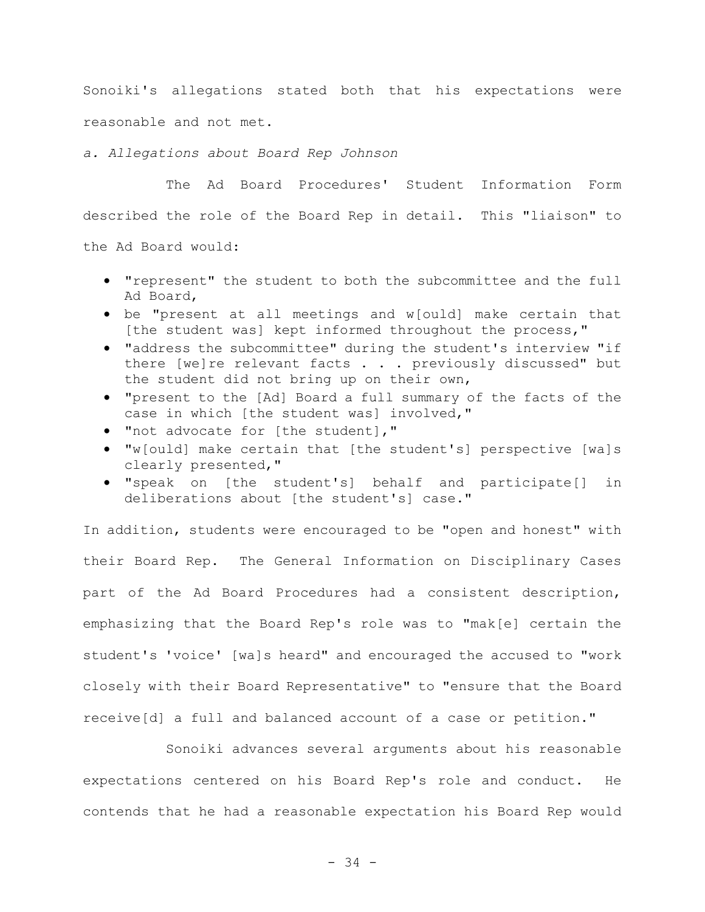Sonoiki's allegations stated both that his expectations were reasonable and not met.

*a. Allegations about Board Rep Johnson*

Ad Board,

The Ad Board Procedures' Student Information Form described the role of the Board Rep in detail. This "liaison" to the Ad Board would:

• "represent" the student to both the subcommittee and the full

- be "present at all meetings and w[ould] make certain that [the student was] kept informed throughout the process,"
- "address the subcommittee" during the student's interview "if there [we]re relevant facts . . . previously discussed" but the student did not bring up on their own,
- "present to the [Ad] Board a full summary of the facts of the case in which [the student was] involved,"
- "not advocate for [the student],"
- "w[ould] make certain that [the student's] perspective [wa]s clearly presented,"
- "speak on [the student's] behalf and participate[] in deliberations about [the student's] case."

In addition, students were encouraged to be "open and honest" with their Board Rep. The General Information on Disciplinary Cases part of the Ad Board Procedures had a consistent description, emphasizing that the Board Rep's role was to "mak[e] certain the student's 'voice' [wa]s heard" and encouraged the accused to "work closely with their Board Representative" to "ensure that the Board receive[d] a full and balanced account of a case or petition."

Sonoiki advances several arguments about his reasonable expectations centered on his Board Rep's role and conduct. He contends that he had a reasonable expectation his Board Rep would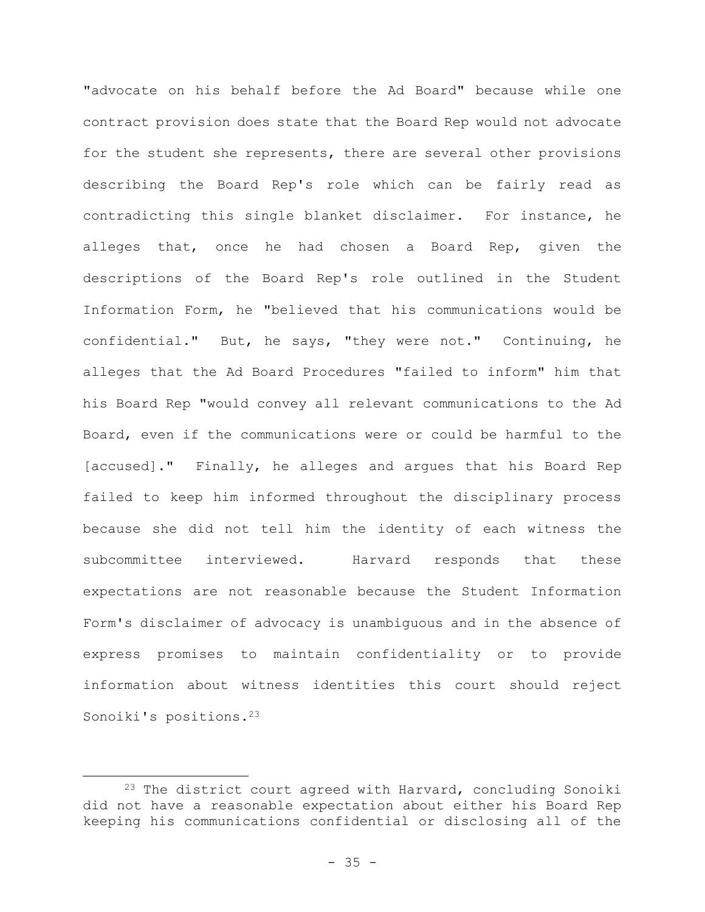"advocate on his behalf before the Ad Board" because while one contract provision does state that the Board Rep would not advocate for the student she represents, there are several other provisions describing the Board Rep's role which can be fairly read as contradicting this single blanket disclaimer. For instance, he alleges that, once he had chosen a Board Rep, given the descriptions of the Board Rep's role outlined in the Student Information Form, he "believed that his communications would be confidential." But, he says, "they were not." Continuing, he alleges that the Ad Board Procedures "failed to inform" him that his Board Rep "would convey all relevant communications to the Ad Board, even if the communications were or could be harmful to the [accused]." Finally, he alleges and argues that his Board Rep failed to keep him informed throughout the disciplinary process because she did not tell him the identity of each witness the subcommittee interviewed. Harvard responds that these expectations are not reasonable because the Student Information Form's disclaimer of advocacy is unambiguous and in the absence of express promises to maintain confidentiality or to provide information about witness identities this court should reject Sonoiki's positions.<sup>23</sup>

<sup>&</sup>lt;sup>23</sup> The district court agreed with Harvard, concluding Sonoiki did not have a reasonable expectation about either his Board Rep keeping his communications confidential or disclosing all of the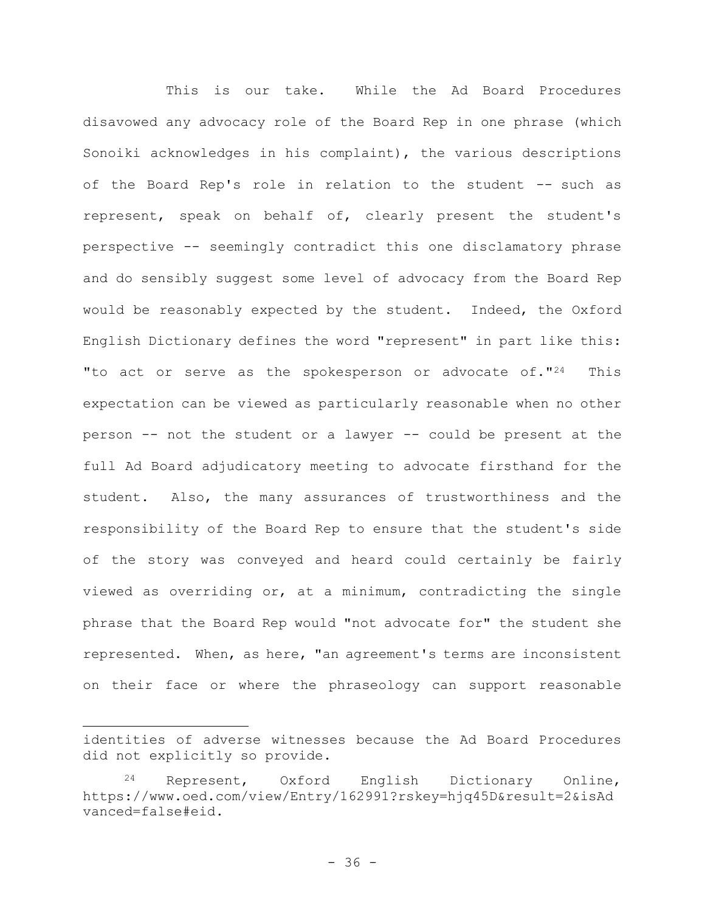This is our take. While the Ad Board Procedures disavowed any advocacy role of the Board Rep in one phrase (which Sonoiki acknowledges in his complaint), the various descriptions of the Board Rep's role in relation to the student -- such as represent, speak on behalf of, clearly present the student's perspective -- seemingly contradict this one disclamatory phrase and do sensibly suggest some level of advocacy from the Board Rep would be reasonably expected by the student. Indeed, the Oxford English Dictionary defines the word "represent" in part like this: "to act or serve as the spokesperson or advocate of."<sup>24</sup> This expectation can be viewed as particularly reasonable when no other person -- not the student or a lawyer -- could be present at the full Ad Board adjudicatory meeting to advocate firsthand for the student. Also, the many assurances of trustworthiness and the responsibility of the Board Rep to ensure that the student's side of the story was conveyed and heard could certainly be fairly viewed as overriding or, at a minimum, contradicting the single phrase that the Board Rep would "not advocate for" the student she represented. When, as here, "an agreement's terms are inconsistent on their face or where the phraseology can support reasonable

identities of adverse witnesses because the Ad Board Procedures did not explicitly so provide.

<sup>24</sup> Represent, Oxford English Dictionary Online, https://www.oed.com/view/Entry/162991?rskey=hjq45D&result=2&isAd vanced=false#eid.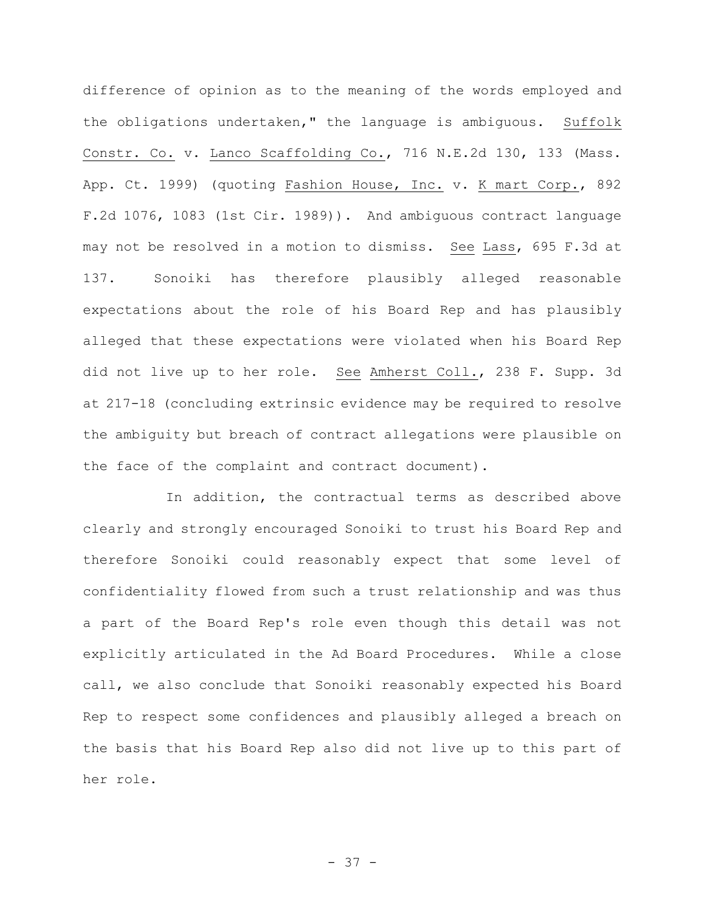difference of opinion as to the meaning of the words employed and the obligations undertaken," the language is ambiguous. Suffolk Constr. Co. v. Lanco Scaffolding Co., 716 N.E.2d 130, 133 (Mass. App. Ct. 1999) (quoting Fashion House, Inc. v. K mart Corp., 892 F.2d 1076, 1083 (1st Cir. 1989)). And ambiguous contract language may not be resolved in a motion to dismiss. See Lass, 695 F.3d at 137. Sonoiki has therefore plausibly alleged reasonable expectations about the role of his Board Rep and has plausibly alleged that these expectations were violated when his Board Rep did not live up to her role. See Amherst Coll., 238 F. Supp. 3d at 217-18 (concluding extrinsic evidence may be required to resolve the ambiguity but breach of contract allegations were plausible on the face of the complaint and contract document).

In addition, the contractual terms as described above clearly and strongly encouraged Sonoiki to trust his Board Rep and therefore Sonoiki could reasonably expect that some level of confidentiality flowed from such a trust relationship and was thus a part of the Board Rep's role even though this detail was not explicitly articulated in the Ad Board Procedures. While a close call, we also conclude that Sonoiki reasonably expected his Board Rep to respect some confidences and plausibly alleged a breach on the basis that his Board Rep also did not live up to this part of her role.

- 37 -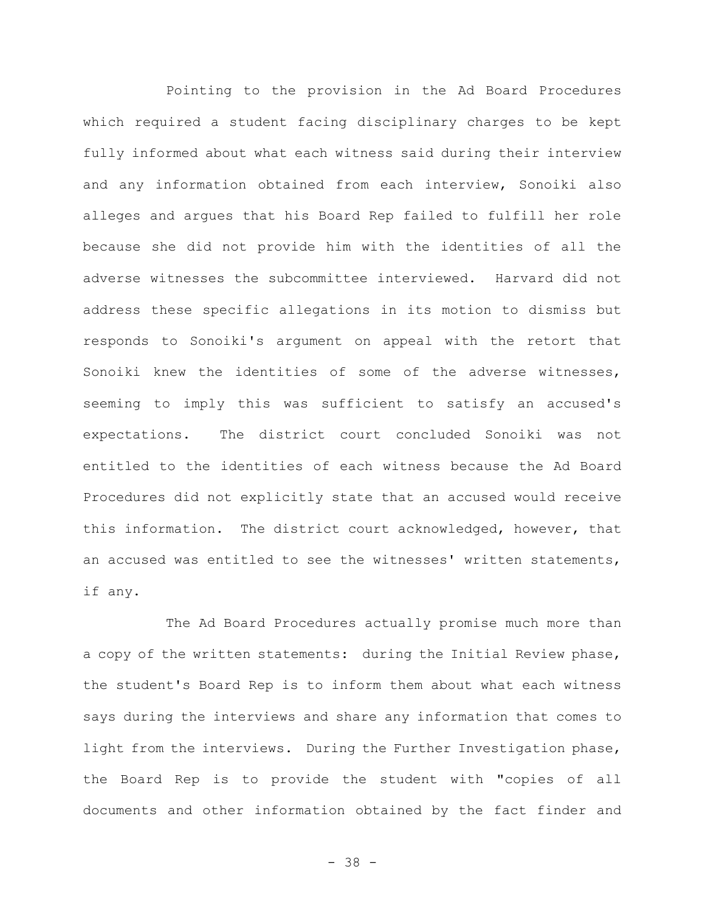Pointing to the provision in the Ad Board Procedures which required a student facing disciplinary charges to be kept fully informed about what each witness said during their interview and any information obtained from each interview, Sonoiki also alleges and argues that his Board Rep failed to fulfill her role because she did not provide him with the identities of all the adverse witnesses the subcommittee interviewed. Harvard did not address these specific allegations in its motion to dismiss but responds to Sonoiki's argument on appeal with the retort that Sonoiki knew the identities of some of the adverse witnesses, seeming to imply this was sufficient to satisfy an accused's expectations. The district court concluded Sonoiki was not entitled to the identities of each witness because the Ad Board Procedures did not explicitly state that an accused would receive this information. The district court acknowledged, however, that an accused was entitled to see the witnesses' written statements, if any.

The Ad Board Procedures actually promise much more than a copy of the written statements: during the Initial Review phase, the student's Board Rep is to inform them about what each witness says during the interviews and share any information that comes to light from the interviews. During the Further Investigation phase, the Board Rep is to provide the student with "copies of all documents and other information obtained by the fact finder and

- 38 -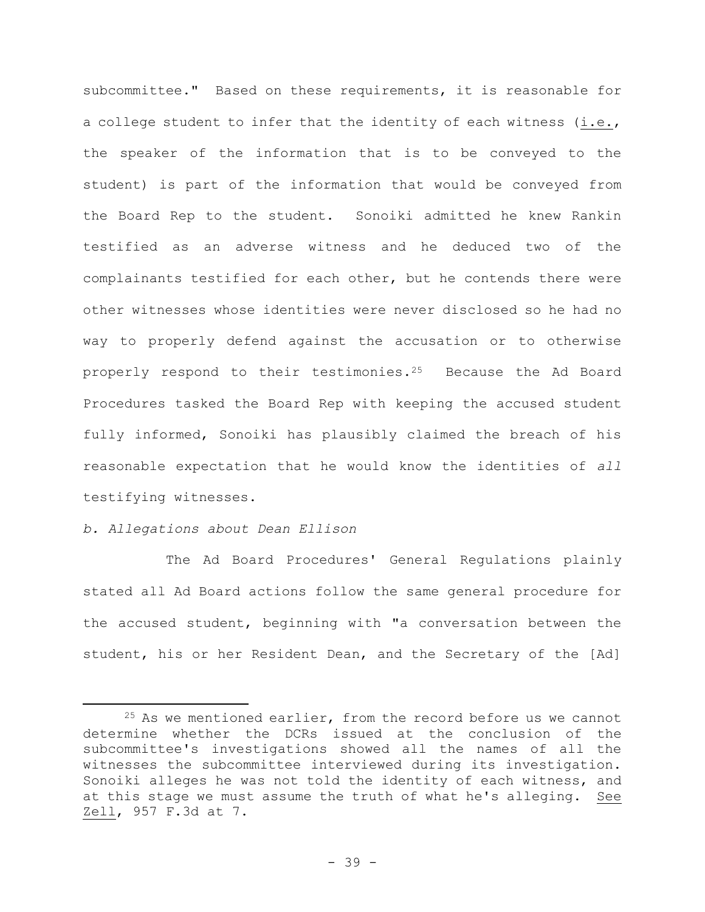subcommittee." Based on these requirements, it is reasonable for a college student to infer that the identity of each witness (i.e., the speaker of the information that is to be conveyed to the student) is part of the information that would be conveyed from the Board Rep to the student.Sonoiki admitted he knew Rankin testified as an adverse witness and he deduced two of the complainants testified for each other, but he contends there were other witnesses whose identities were never disclosed so he had no way to properly defend against the accusation or to otherwise properly respond to their testimonies.<sup>25</sup> Because the Ad Board Procedures tasked the Board Rep with keeping the accused student fully informed, Sonoiki has plausibly claimed the breach of his reasonable expectation that he would know the identities of *all* testifying witnesses.

# *b. Allegations about Dean Ellison*

The Ad Board Procedures' General Regulations plainly stated all Ad Board actions follow the same general procedure for the accused student, beginning with "a conversation between the student, his or her Resident Dean, and the Secretary of the [Ad]

 $25$  As we mentioned earlier, from the record before us we cannot determine whether the DCRs issued at the conclusion of the subcommittee's investigations showed all the names of all the witnesses the subcommittee interviewed during its investigation. Sonoiki alleges he was not told the identity of each witness, and at this stage we must assume the truth of what he's alleging. See Zell, 957 F.3d at 7.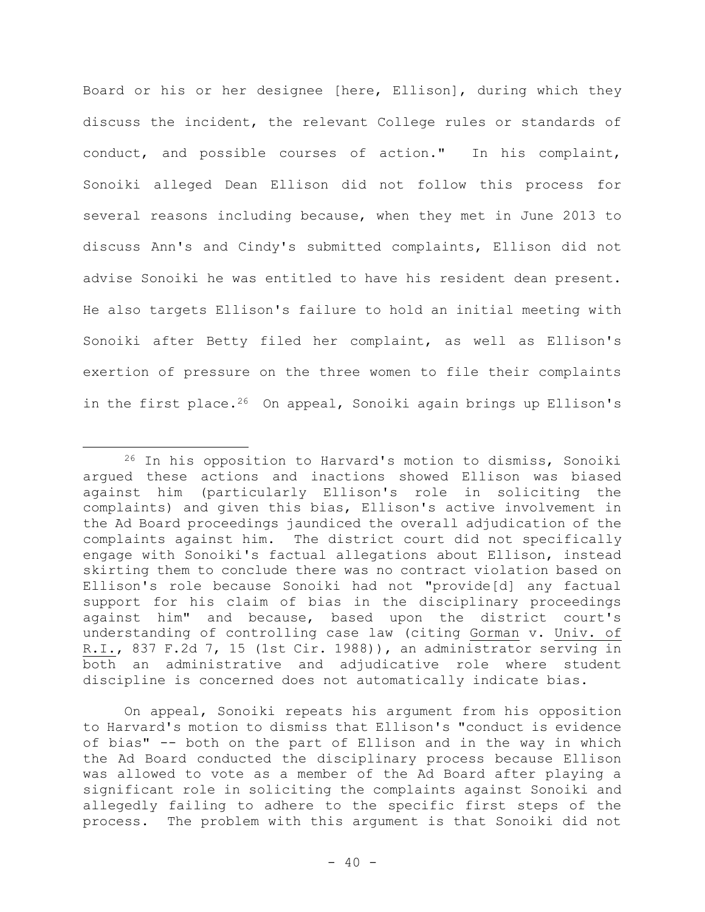Board or his or her designee [here, Ellison], during which they discuss the incident, the relevant College rules or standards of conduct, and possible courses of action." In his complaint, Sonoiki alleged Dean Ellison did not follow this process for several reasons including because, when they met in June 2013 to discuss Ann's and Cindy's submitted complaints, Ellison did not advise Sonoiki he was entitled to have his resident dean present. He also targets Ellison's failure to hold an initial meeting with Sonoiki after Betty filed her complaint, as well as Ellison's exertion of pressure on the three women to file their complaints in the first place.<sup>26</sup> On appeal, Sonoiki again brings up Ellison's

On appeal, Sonoiki repeats his argument from his opposition to Harvard's motion to dismiss that Ellison's "conduct is evidence of bias" -- both on the part of Ellison and in the way in which the Ad Board conducted the disciplinary process because Ellison was allowed to vote as a member of the Ad Board after playing a significant role in soliciting the complaints against Sonoiki and allegedly failing to adhere to the specific first steps of the process. The problem with this argument is that Sonoiki did not

<sup>26</sup> In his opposition to Harvard's motion to dismiss, Sonoiki argued these actions and inactions showed Ellison was biased against him (particularly Ellison's role in soliciting the complaints) and given this bias, Ellison's active involvement in the Ad Board proceedings jaundiced the overall adjudication of the complaints against him. The district court did not specifically engage with Sonoiki's factual allegations about Ellison, instead skirting them to conclude there was no contract violation based on Ellison's role because Sonoiki had not "provide[d] any factual support for his claim of bias in the disciplinary proceedings against him" and because, based upon the district court's understanding of controlling case law (citing Gorman v. Univ. of R.I., 837 F.2d 7, 15 (1st Cir. 1988)), an administrator serving in both an administrative and adjudicative role where student discipline is concerned does not automatically indicate bias.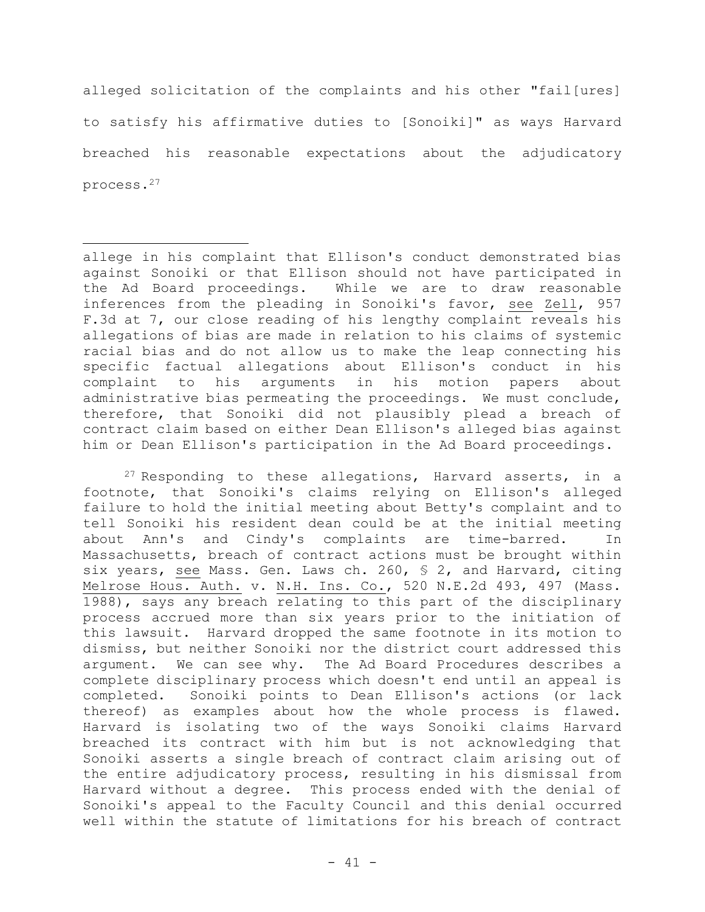alleged solicitation of the complaints and his other "fail[ures] to satisfy his affirmative duties to [Sonoiki]" as ways Harvard breached his reasonable expectations about the adjudicatory process.<sup>27</sup>

allege in his complaint that Ellison's conduct demonstrated bias against Sonoiki or that Ellison should not have participated in the Ad Board proceedings. While we are to draw reasonable inferences from the pleading in Sonoiki's favor, see Zell, 957 F.3d at 7, our close reading of his lengthy complaint reveals his allegations of bias are made in relation to his claims of systemic racial bias and do not allow us to make the leap connecting his specific factual allegations about Ellison's conduct in his complaint to his arguments in his motion papers about administrative bias permeating the proceedings. We must conclude, therefore, that Sonoiki did not plausibly plead a breach of contract claim based on either Dean Ellison's alleged bias against him or Dean Ellison's participation in the Ad Board proceedings.

 $27$  Responding to these allegations, Harvard asserts, in a footnote, that Sonoiki's claims relying on Ellison's alleged failure to hold the initial meeting about Betty's complaint and to tell Sonoiki his resident dean could be at the initial meeting about Ann's and Cindy's complaints are time-barred. In Massachusetts, breach of contract actions must be brought within six years, see Mass. Gen. Laws ch. 260, § 2, and Harvard, citing Melrose Hous. Auth. v. N.H. Ins. Co., 520 N.E.2d 493, 497 (Mass. 1988), says any breach relating to this part of the disciplinary process accrued more than six years prior to the initiation of this lawsuit. Harvard dropped the same footnote in its motion to dismiss, but neither Sonoiki nor the district court addressed this argument. We can see why. The Ad Board Procedures describes a complete disciplinary process which doesn't end until an appeal is completed. Sonoiki points to Dean Ellison's actions (or lack thereof) as examples about how the whole process is flawed. Harvard is isolating two of the ways Sonoiki claims Harvard breached its contract with him but is not acknowledging that Sonoiki asserts a single breach of contract claim arising out of the entire adjudicatory process, resulting in his dismissal from Harvard without a degree. This process ended with the denial of Sonoiki's appeal to the Faculty Council and this denial occurred well within the statute of limitations for his breach of contract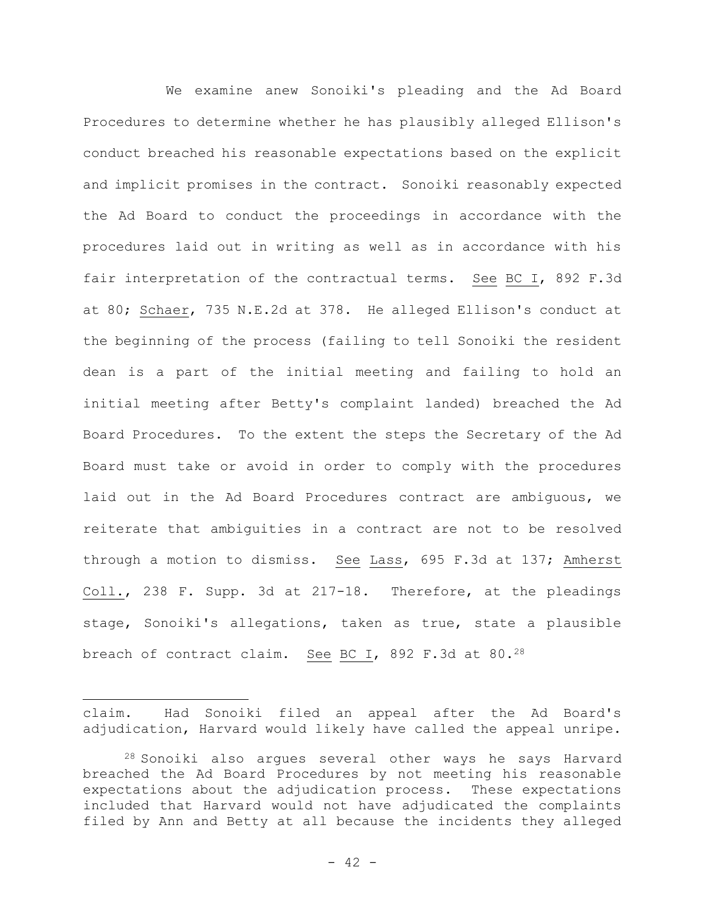We examine anew Sonoiki's pleading and the Ad Board Procedures to determine whether he has plausibly alleged Ellison's conduct breached his reasonable expectations based on the explicit and implicit promises in the contract. Sonoiki reasonably expected the Ad Board to conduct the proceedings in accordance with the procedures laid out in writing as well as in accordance with his fair interpretation of the contractual terms. See BC I, 892 F.3d at 80; Schaer, 735 N.E.2d at 378. He alleged Ellison's conduct at the beginning of the process (failing to tell Sonoiki the resident dean is a part of the initial meeting and failing to hold an initial meeting after Betty's complaint landed) breached the Ad Board Procedures. To the extent the steps the Secretary of the Ad Board must take or avoid in order to comply with the procedures laid out in the Ad Board Procedures contract are ambiguous, we reiterate that ambiguities in a contract are not to be resolved through a motion to dismiss. See Lass, 695 F.3d at 137; Amherst Coll., 238 F. Supp. 3d at 217-18. Therefore, at the pleadings stage, Sonoiki's allegations, taken as true, state a plausible breach of contract claim. See BC I, 892 F.3d at 80.<sup>28</sup>

claim. Had Sonoiki filed an appeal after the Ad Board's adjudication, Harvard would likely have called the appeal unripe.

<sup>28</sup> Sonoiki also argues several other ways he says Harvard breached the Ad Board Procedures by not meeting his reasonable expectations about the adjudication process. These expectations included that Harvard would not have adjudicated the complaints filed by Ann and Betty at all because the incidents they alleged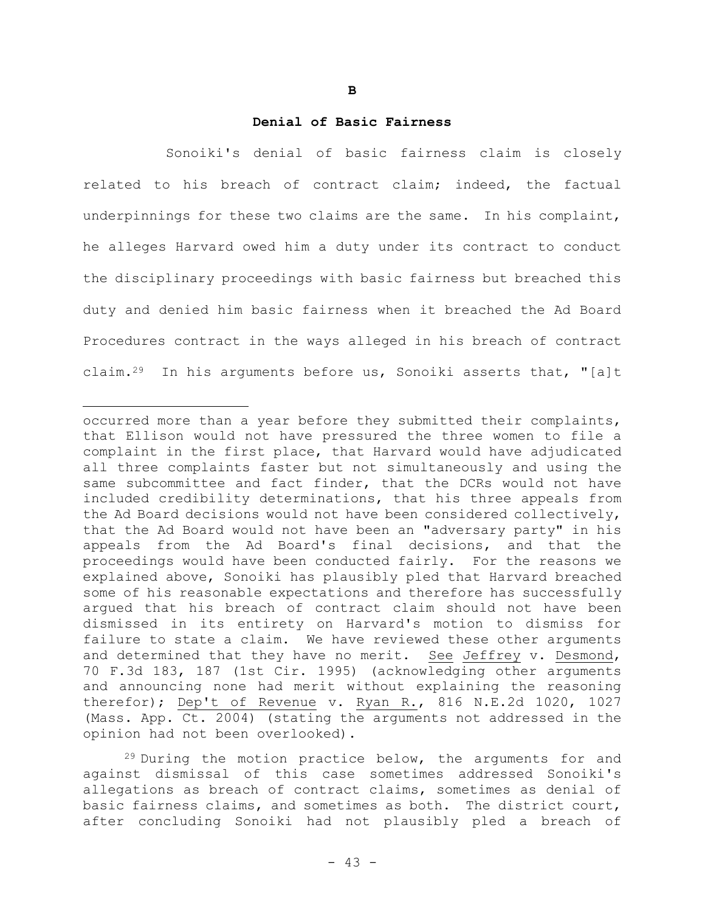#### **Denial of Basic Fairness**

Sonoiki's denial of basic fairness claim is closely related to his breach of contract claim; indeed, the factual underpinnings for these two claims are the same. In his complaint, he alleges Harvard owed him a duty under its contract to conduct the disciplinary proceedings with basic fairness but breached this duty and denied him basic fairness when it breached the Ad Board Procedures contract in the ways alleged in his breach of contract claim.<sup>29</sup> In his arguments before us, Sonoiki asserts that, "[a]t

occurred more than a year before they submitted their complaints, that Ellison would not have pressured the three women to file a complaint in the first place, that Harvard would have adjudicated all three complaints faster but not simultaneously and using the same subcommittee and fact finder, that the DCRs would not have included credibility determinations, that his three appeals from the Ad Board decisions would not have been considered collectively, that the Ad Board would not have been an "adversary party" in his appeals from the Ad Board's final decisions, and that the proceedings would have been conducted fairly. For the reasons we explained above, Sonoiki has plausibly pled that Harvard breached some of his reasonable expectations and therefore has successfully argued that his breach of contract claim should not have been dismissed in its entirety on Harvard's motion to dismiss for failure to state a claim. We have reviewed these other arguments and determined that they have no merit. See Jeffrey v. Desmond, 70 F.3d 183, 187 (1st Cir. 1995) (acknowledging other arguments and announcing none had merit without explaining the reasoning therefor); Dep't of Revenue v. Ryan R., 816 N.E.2d 1020, 1027 (Mass. App. Ct. 2004) (stating the arguments not addressed in the opinion had not been overlooked).

<sup>&</sup>lt;sup>29</sup> During the motion practice below, the arguments for and against dismissal of this case sometimes addressed Sonoiki's allegations as breach of contract claims, sometimes as denial of basic fairness claims, and sometimes as both. The district court, after concluding Sonoiki had not plausibly pled a breach of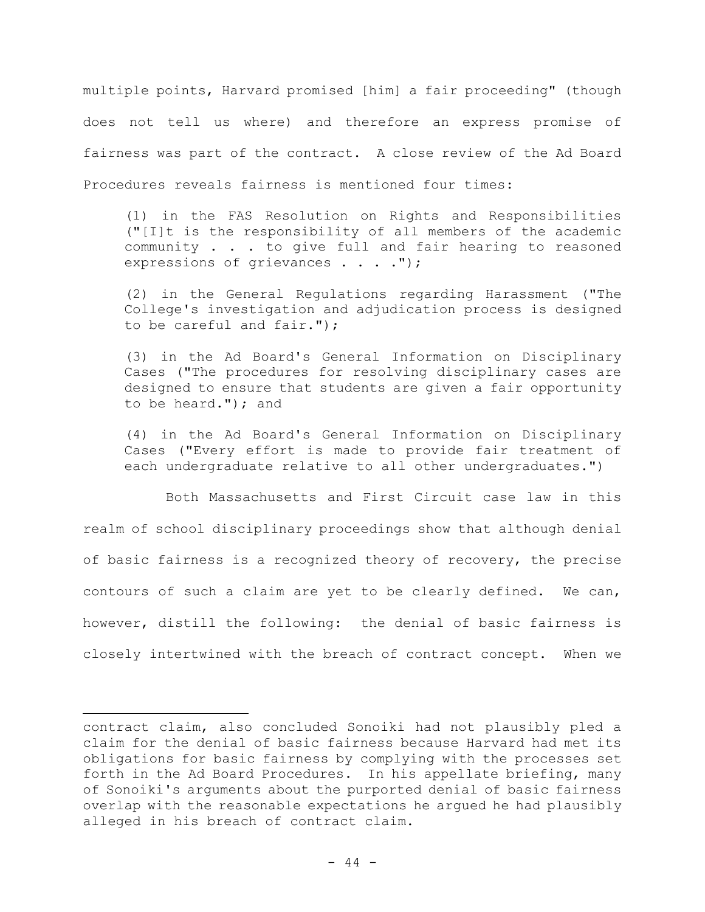multiple points, Harvard promised [him] a fair proceeding" (though does not tell us where) and therefore an express promise of fairness was part of the contract. A close review of the Ad Board Procedures reveals fairness is mentioned four times:

(1) in the FAS Resolution on Rights and Responsibilities ("[I]t is the responsibility of all members of the academic community . . . to give full and fair hearing to reasoned expressions of grievances . . . . ");

(2) in the General Regulations regarding Harassment ("The College's investigation and adjudication process is designed to be careful and fair.");

(3) in the Ad Board's General Information on Disciplinary Cases ("The procedures for resolving disciplinary cases are designed to ensure that students are given a fair opportunity to be heard."); and

(4) in the Ad Board's General Information on Disciplinary Cases ("Every effort is made to provide fair treatment of each undergraduate relative to all other undergraduates.")

Both Massachusetts and First Circuit case law in this realm of school disciplinary proceedings show that although denial of basic fairness is a recognized theory of recovery, the precise contours of such a claim are yet to be clearly defined. We can, however, distill the following: the denial of basic fairness is closely intertwined with the breach of contract concept. When we

contract claim, also concluded Sonoiki had not plausibly pled a claim for the denial of basic fairness because Harvard had met its obligations for basic fairness by complying with the processes set forth in the Ad Board Procedures. In his appellate briefing, many of Sonoiki's arguments about the purported denial of basic fairness overlap with the reasonable expectations he argued he had plausibly alleged in his breach of contract claim.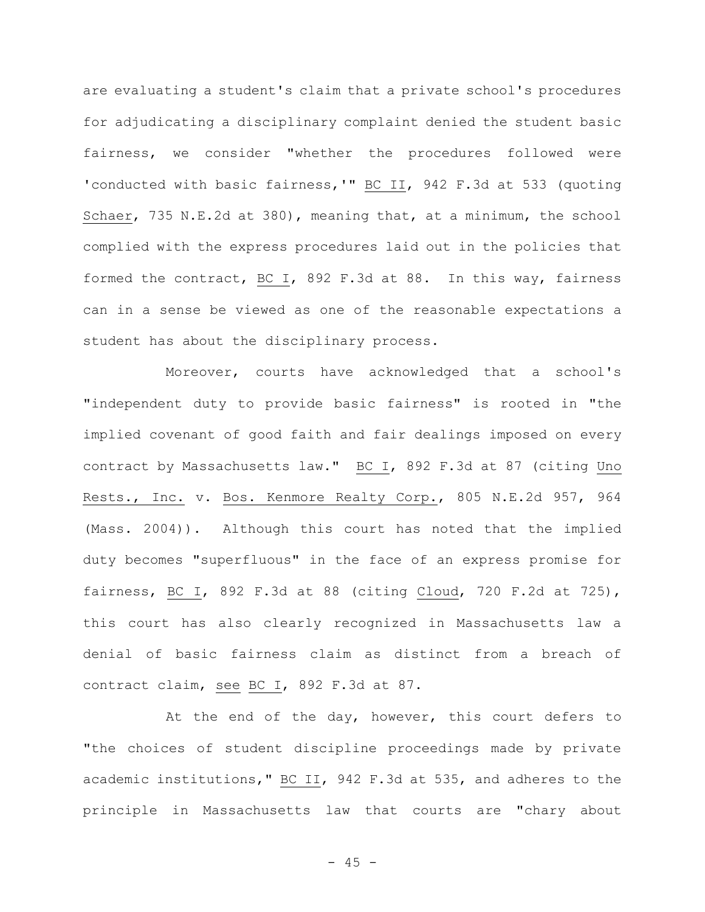are evaluating a student's claim that a private school's procedures for adjudicating a disciplinary complaint denied the student basic fairness, we consider "whether the procedures followed were 'conducted with basic fairness,'" BC II, 942 F.3d at 533 (quoting Schaer, 735 N.E.2d at 380), meaning that, at a minimum, the school complied with the express procedures laid out in the policies that formed the contract, BC I, 892 F.3d at 88. In this way, fairness can in a sense be viewed as one of the reasonable expectations a student has about the disciplinary process.

Moreover, courts have acknowledged that a school's "independent duty to provide basic fairness" is rooted in "the implied covenant of good faith and fair dealings imposed on every contract by Massachusetts law." BC I, 892 F.3d at 87 (citing Uno Rests., Inc. v. Bos. Kenmore Realty Corp., 805 N.E.2d 957, 964 (Mass. 2004)). Although this court has noted that the implied duty becomes "superfluous" in the face of an express promise for fairness, BC I, 892 F.3d at 88 (citing Cloud, 720 F.2d at 725), this court has also clearly recognized in Massachusetts law a denial of basic fairness claim as distinct from a breach of contract claim, see BC I, 892 F.3d at 87.

At the end of the day, however, this court defers to "the choices of student discipline proceedings made by private academic institutions," BC II, 942 F.3d at 535, and adheres to the principle in Massachusetts law that courts are "chary about

 $- 45 -$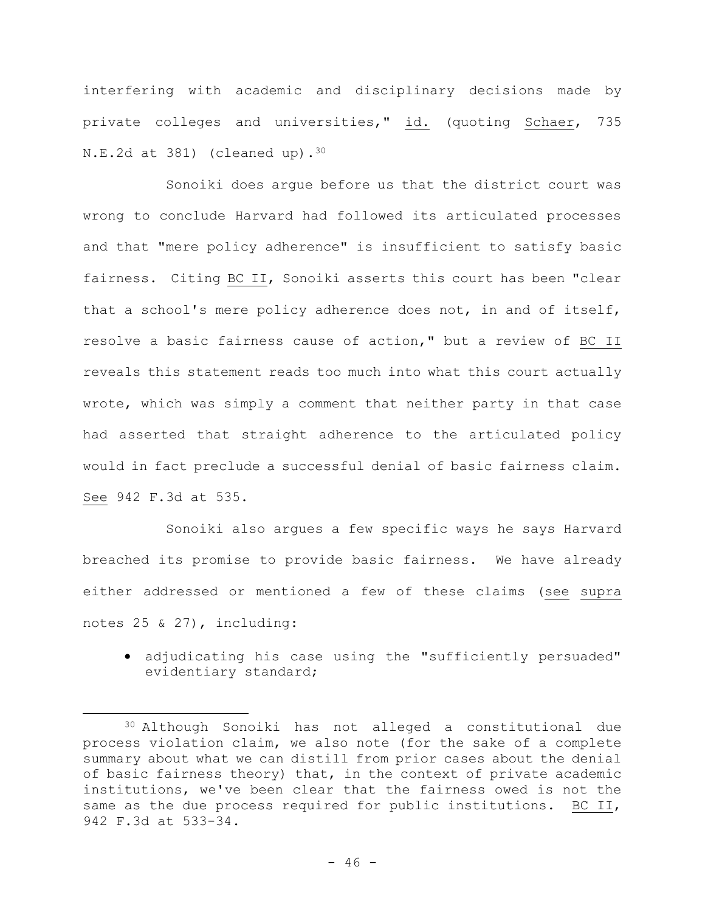interfering with academic and disciplinary decisions made by private colleges and universities," id. (quoting Schaer, 735  $N.E.2d$  at 381) (cleaned up).<sup>30</sup>

Sonoiki does argue before us that the district court was wrong to conclude Harvard had followed its articulated processes and that "mere policy adherence" is insufficient to satisfy basic fairness. Citing BC II, Sonoiki asserts this court has been "clear that a school's mere policy adherence does not, in and of itself, resolve a basic fairness cause of action," but a review of BC II reveals this statement reads too much into what this court actually wrote, which was simply a comment that neither party in that case had asserted that straight adherence to the articulated policy would in fact preclude a successful denial of basic fairness claim. See 942 F.3d at 535.

Sonoiki also argues a few specific ways he says Harvard breached its promise to provide basic fairness. We have already either addressed or mentioned a few of these claims (see supra notes 25 & 27), including:

• adjudicating his case using the "sufficiently persuaded" evidentiary standard;

<sup>30</sup> Although Sonoiki has not alleged a constitutional due process violation claim, we also note (for the sake of a complete summary about what we can distill from prior cases about the denial of basic fairness theory) that, in the context of private academic institutions, we've been clear that the fairness owed is not the same as the due process required for public institutions. BC II, 942 F.3d at 533-34.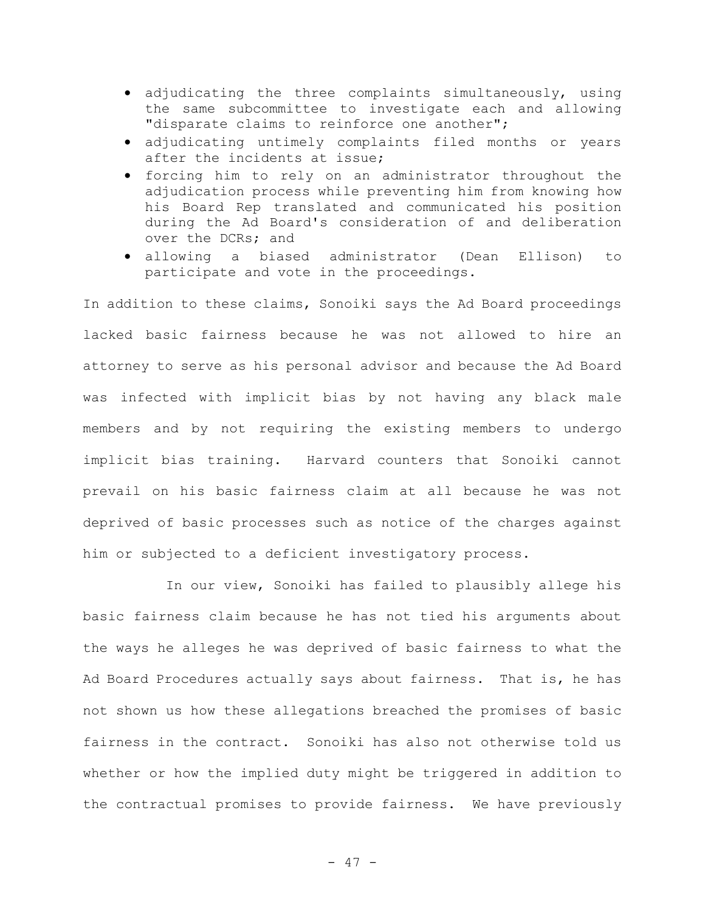- adjudicating the three complaints simultaneously, using the same subcommittee to investigate each and allowing "disparate claims to reinforce one another";
- adjudicating untimely complaints filed months or years after the incidents at issue;
- forcing him to rely on an administrator throughout the adjudication process while preventing him from knowing how his Board Rep translated and communicated his position during the Ad Board's consideration of and deliberation over the DCRs; and
- allowing a biased administrator (Dean Ellison) to participate and vote in the proceedings.

In addition to these claims, Sonoiki says the Ad Board proceedings lacked basic fairness because he was not allowed to hire an attorney to serve as his personal advisor and because the Ad Board was infected with implicit bias by not having any black male members and by not requiring the existing members to undergo implicit bias training. Harvard counters that Sonoiki cannot prevail on his basic fairness claim at all because he was not deprived of basic processes such as notice of the charges against him or subjected to a deficient investigatory process.

In our view, Sonoiki has failed to plausibly allege his basic fairness claim because he has not tied his arguments about the ways he alleges he was deprived of basic fairness to what the Ad Board Procedures actually says about fairness. That is, he has not shown us how these allegations breached the promises of basic fairness in the contract. Sonoiki has also not otherwise told us whether or how the implied duty might be triggered in addition to the contractual promises to provide fairness. We have previously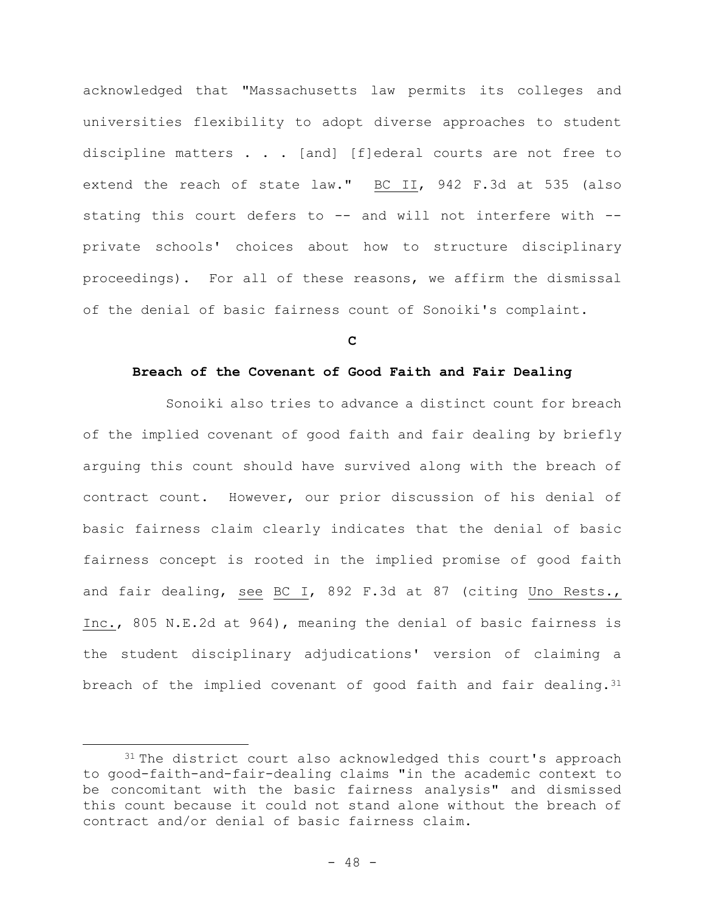acknowledged that "Massachusetts law permits its colleges and universities flexibility to adopt diverse approaches to student discipline matters . . . [and] [f]ederal courts are not free to extend the reach of state law." BC II, 942 F.3d at 535 (also stating this court defers to -- and will not interfere with -private schools' choices about how to structure disciplinary proceedings). For all of these reasons, we affirm the dismissal of the denial of basic fairness count of Sonoiki's complaint.

**C**

### **Breach of the Covenant of Good Faith and Fair Dealing**

Sonoiki also tries to advance a distinct count for breach of the implied covenant of good faith and fair dealing by briefly arguing this count should have survived along with the breach of contract count. However, our prior discussion of his denial of basic fairness claim clearly indicates that the denial of basic fairness concept is rooted in the implied promise of good faith and fair dealing, see BC I, 892 F.3d at 87 (citing Uno Rests., Inc., 805 N.E.2d at 964), meaning the denial of basic fairness is the student disciplinary adjudications' version of claiming a breach of the implied covenant of good faith and fair dealing. 31

<sup>&</sup>lt;sup>31</sup> The district court also acknowledged this court's approach to good-faith-and-fair-dealing claims "in the academic context to be concomitant with the basic fairness analysis" and dismissed this count because it could not stand alone without the breach of contract and/or denial of basic fairness claim.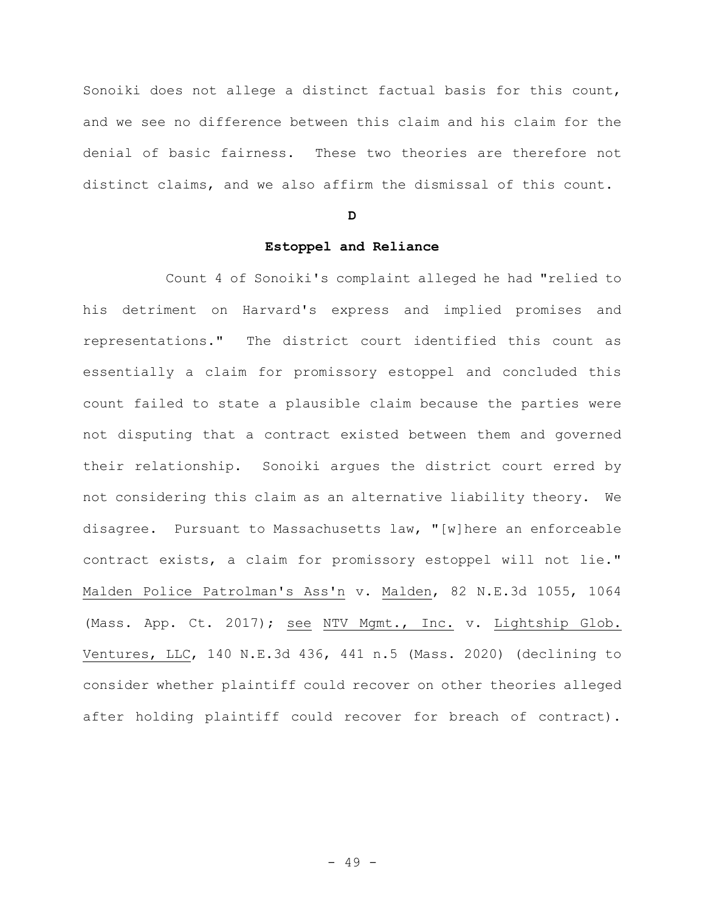Sonoiki does not allege a distinct factual basis for this count, and we see no difference between this claim and his claim for the denial of basic fairness. These two theories are therefore not distinct claims, and we also affirm the dismissal of this count.

#### **D**

# **Estoppel and Reliance**

Count 4 of Sonoiki's complaint alleged he had "relied to his detriment on Harvard's express and implied promises and representations." The district court identified this count as essentially a claim for promissory estoppel and concluded this count failed to state a plausible claim because the parties were not disputing that a contract existed between them and governed their relationship. Sonoiki argues the district court erred by not considering this claim as an alternative liability theory. We disagree. Pursuant to Massachusetts law, "[w]here an enforceable contract exists, a claim for promissory estoppel will not lie." Malden Police Patrolman's Ass'n v. Malden, 82 N.E.3d 1055, 1064 (Mass. App. Ct. 2017); see NTV Mgmt., Inc. v. Lightship Glob. Ventures, LLC, 140 N.E.3d 436, 441 n.5 (Mass. 2020) (declining to consider whether plaintiff could recover on other theories alleged after holding plaintiff could recover for breach of contract).